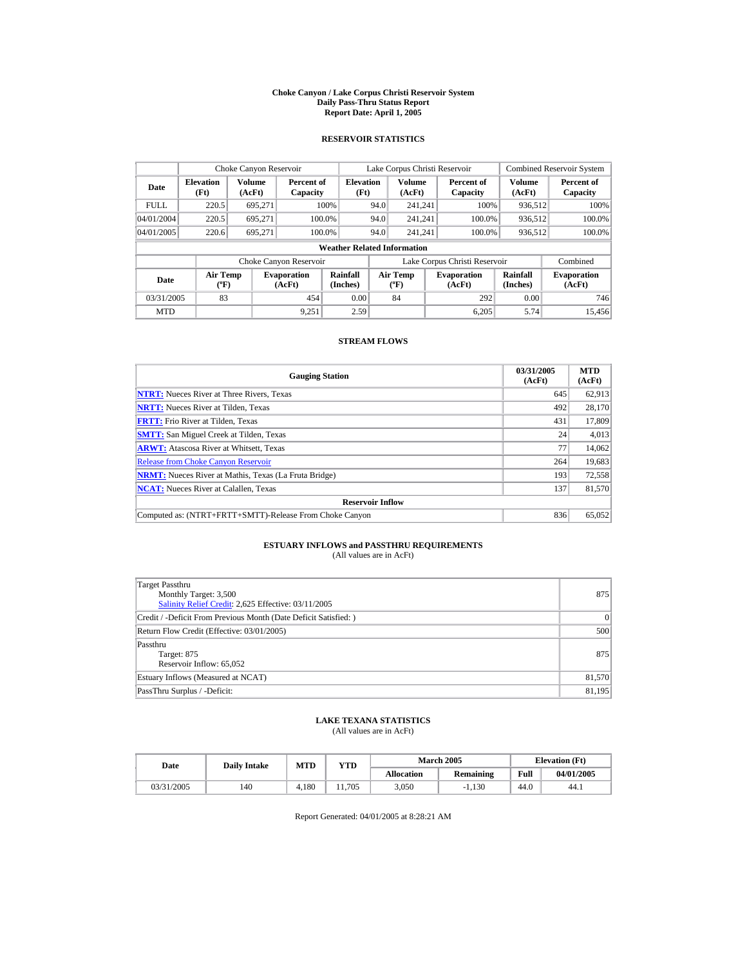#### **Choke Canyon / Lake Corpus Christi Reservoir System Daily Pass-Thru Status Report Report Date: April 1, 2005**

### **RESERVOIR STATISTICS**

|                                                                                     | Choke Canyon Reservoir             |                      |                        |                                                    |      | Lake Corpus Christi Reservoir |                             |                               |                  | <b>Combined Reservoir System</b> |
|-------------------------------------------------------------------------------------|------------------------------------|----------------------|------------------------|----------------------------------------------------|------|-------------------------------|-----------------------------|-------------------------------|------------------|----------------------------------|
| Volume<br><b>Elevation</b><br>Date<br>(Ft)<br>(AcFt)                                |                                    |                      |                        | <b>Elevation</b><br>Percent of<br>(Ft)<br>Capacity |      | Volume<br>(AcFt)              |                             | Percent of<br>Capacity        | Volume<br>(AcFt) | Percent of<br>Capacity           |
| <b>FULL</b>                                                                         | 220.5                              | 695.271              |                        | 100%                                               | 94.0 | 241.241                       |                             | 100%                          | 936,512          | 100%                             |
| 04/01/2004                                                                          | 220.5                              | 695.271              |                        | 100.0%                                             | 94.0 | 241.241                       |                             | 100.0%                        | 936,512          | 100.0%                           |
| 04/01/2005                                                                          | 220.6                              | 695,271              |                        | 100.0%                                             | 94.0 | 241.241                       |                             | 100.0%                        | 936,512          | 100.0%                           |
|                                                                                     | <b>Weather Related Information</b> |                      |                        |                                                    |      |                               |                             |                               |                  |                                  |
|                                                                                     |                                    |                      | Choke Canyon Reservoir |                                                    |      |                               |                             | Lake Corpus Christi Reservoir |                  | Combined                         |
| <b>Air Temp</b><br><b>Evaporation</b><br>Date<br>$({}^{\circ}\mathrm{F})$<br>(AcFt) |                                    | Rainfall<br>(Inches) |                        | <b>Air Temp</b><br>$(^{\circ}F)$                   |      | <b>Evaporation</b><br>(AcFt)  | <b>Rainfall</b><br>(Inches) | <b>Evaporation</b><br>(AcFt)  |                  |                                  |
| 83<br>03/31/2005<br>454                                                             |                                    |                      | 0.00                   |                                                    | 84   |                               | 292                         | 0.00                          | 746              |                                  |
| <b>MTD</b>                                                                          |                                    |                      | 9.251                  | 2.59                                               |      |                               |                             | 6.205                         | 5.74             | 15.456                           |

### **STREAM FLOWS**

| <b>Gauging Station</b>                                       | 03/31/2005<br>(AcFt) | <b>MTD</b><br>(AcFt) |
|--------------------------------------------------------------|----------------------|----------------------|
| <b>NTRT:</b> Nueces River at Three Rivers, Texas             | 645                  | 62,913               |
| <b>NRTT:</b> Nueces River at Tilden, Texas                   | 492                  | 28,170               |
| <b>FRTT:</b> Frio River at Tilden, Texas                     | 431                  | 17,809               |
| <b>SMTT:</b> San Miguel Creek at Tilden, Texas               | 24                   | 4,013                |
| <b>ARWT:</b> Atascosa River at Whitsett, Texas               | 77                   | 14,062               |
| <b>Release from Choke Canvon Reservoir</b>                   | 264                  | 19,683               |
| <b>NRMT:</b> Nueces River at Mathis, Texas (La Fruta Bridge) | 193                  | 72,558               |
| <b>NCAT:</b> Nueces River at Calallen, Texas                 | 137                  | 81,570               |
| <b>Reservoir Inflow</b>                                      |                      |                      |
| Computed as: (NTRT+FRTT+SMTT)-Release From Choke Canyon      | 836                  | 65,052               |

# **ESTUARY INFLOWS and PASSTHRU REQUIREMENTS**<br>(All values are in AcFt)

| Target Passthru<br>Monthly Target: 3,500<br>Salinity Relief Credit: 2,625 Effective: 03/11/2005 | 875    |
|-------------------------------------------------------------------------------------------------|--------|
| Credit / -Deficit From Previous Month (Date Deficit Satisfied: )                                | 0      |
| Return Flow Credit (Effective: 03/01/2005)                                                      | 500    |
| Passthru<br>Target: 875<br>Reservoir Inflow: 65,052                                             | 875    |
| Estuary Inflows (Measured at NCAT)                                                              | 81,570 |
| PassThru Surplus / -Deficit:                                                                    | 81,195 |

### **LAKE TEXANA STATISTICS**

(All values are in AcFt)

| Date       | <b>Daily Intake</b> | <b>MTD</b> | YTD   |                   | <b>March 2005</b> |      | <b>Elevation</b> (Ft) |
|------------|---------------------|------------|-------|-------------------|-------------------|------|-----------------------|
|            |                     |            |       | <b>Allocation</b> | Remaining         | Full | 04/01/2005            |
| 03/31/2005 | 140                 | .180       | 1.705 | 3.050             | $-1.130$          | 44.0 | 44.1                  |

Report Generated: 04/01/2005 at 8:28:21 AM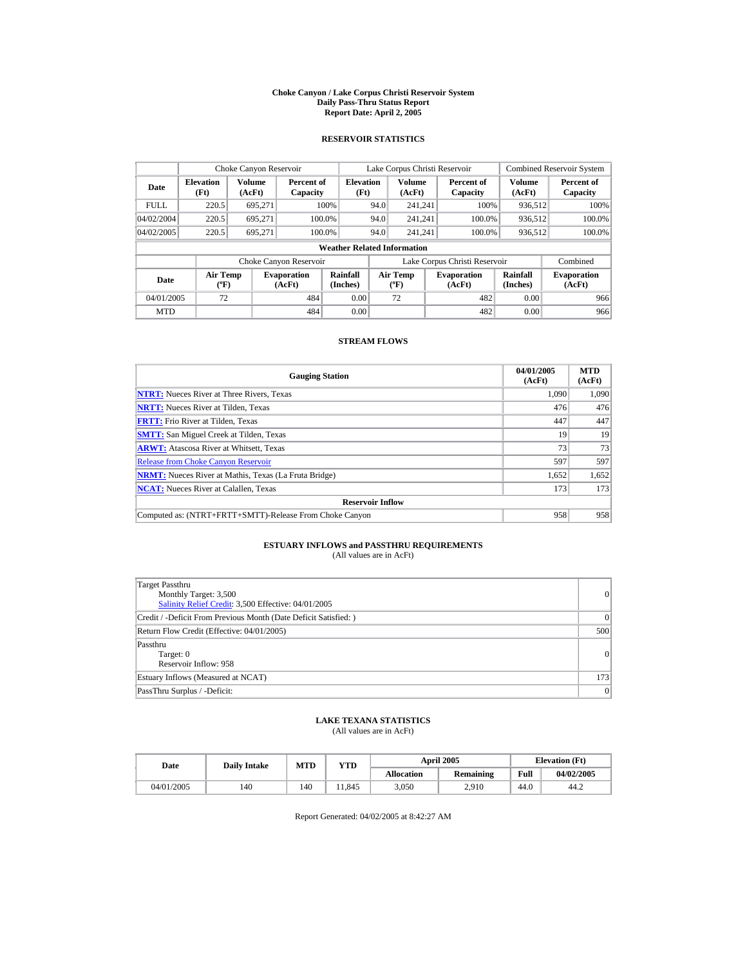#### **Choke Canyon / Lake Corpus Christi Reservoir System Daily Pass-Thru Status Report Report Date: April 2, 2005**

### **RESERVOIR STATISTICS**

|                                                                                     | Choke Canyon Reservoir |                      |                        |                                          |                              | Lake Corpus Christi Reservoir |                               |                         | <b>Combined Reservoir System</b> |  |
|-------------------------------------------------------------------------------------|------------------------|----------------------|------------------------|------------------------------------------|------------------------------|-------------------------------|-------------------------------|-------------------------|----------------------------------|--|
| Volume<br><b>Elevation</b><br>Date<br>(AcFt)<br>(Ft)                                |                        |                      | Percent of<br>Capacity | <b>Elevation</b><br>(Ft)                 |                              | Volume<br>(AcFt)              | Percent of<br>Capacity        | <b>Volume</b><br>(AcFt) | Percent of<br>Capacity           |  |
| <b>FULL</b>                                                                         | 220.5                  | 695.271              |                        | 100%                                     | 94.0                         | 241.241                       | 100%                          | 936.512                 | 100%                             |  |
| 04/02/2004                                                                          | 220.5                  | 695.271              |                        | 100.0%                                   | 94.0                         | 241.241                       | 100.0%                        | 936,512                 | 100.0%                           |  |
| 04/02/2005                                                                          | 220.5                  | 695.271              |                        | 100.0%                                   | 94.0                         | 241.241                       | 100.0%                        | 936,512                 | 100.0%                           |  |
|                                                                                     |                        |                      |                        | <b>Weather Related Information</b>       |                              |                               |                               |                         |                                  |  |
|                                                                                     |                        |                      | Choke Canyon Reservoir |                                          |                              |                               | Lake Corpus Christi Reservoir |                         | Combined                         |  |
| <b>Air Temp</b><br><b>Evaporation</b><br>Date<br>$({}^{\circ}\mathrm{F})$<br>(AcFt) |                        | Rainfall<br>(Inches) |                        | <b>Air Temp</b><br>$({}^{\circ}{\rm F})$ | <b>Evaporation</b><br>(AcFt) | Rainfall<br>(Inches)          | <b>Evaporation</b><br>(AcFt)  |                         |                                  |  |
| 72<br>484<br>04/01/2005                                                             |                        |                      | 0.00                   |                                          | 72                           | 482                           | 0.00                          | 966                     |                                  |  |
| <b>MTD</b>                                                                          |                        |                      | 484                    | 0.00                                     |                              |                               | 482                           | 0.00                    | 966                              |  |

### **STREAM FLOWS**

| <b>Gauging Station</b>                                       | 04/01/2005<br>(AcFt) | <b>MTD</b><br>(AcFt) |
|--------------------------------------------------------------|----------------------|----------------------|
| <b>NTRT:</b> Nueces River at Three Rivers, Texas             | 1.090                | 1,090                |
| <b>NRTT:</b> Nueces River at Tilden, Texas                   | 476                  | 476                  |
| <b>FRTT:</b> Frio River at Tilden, Texas                     | 447                  | 447                  |
| <b>SMTT:</b> San Miguel Creek at Tilden, Texas               | 19                   | 19                   |
| <b>ARWT:</b> Atascosa River at Whitsett, Texas               | 73                   | 73                   |
| <b>Release from Choke Canyon Reservoir</b>                   | 597                  | 597                  |
| <b>NRMT:</b> Nueces River at Mathis, Texas (La Fruta Bridge) | 1,652                | 1,652                |
| <b>NCAT:</b> Nueces River at Calallen, Texas                 | 173                  | 173                  |
| <b>Reservoir Inflow</b>                                      |                      |                      |
| Computed as: (NTRT+FRTT+SMTT)-Release From Choke Canyon      | 958                  | 958                  |

# **ESTUARY INFLOWS and PASSTHRU REQUIREMENTS**<br>(All values are in AcFt)

| Target Passthru<br>Monthly Target: 3,500<br>Salinity Relief Credit: 3,500 Effective: 04/01/2005 | 0   |
|-------------------------------------------------------------------------------------------------|-----|
| Credit / -Deficit From Previous Month (Date Deficit Satisfied:)                                 | 0   |
| Return Flow Credit (Effective: 04/01/2005)                                                      | 500 |
| Passthru<br>Target: 0<br>Reservoir Inflow: 958                                                  | 0   |
| Estuary Inflows (Measured at NCAT)                                                              | 173 |
| PassThru Surplus / -Deficit:                                                                    | 0   |

## **LAKE TEXANA STATISTICS**

(All values are in AcFt)

| Date       | <b>Daily Intake</b> | <b>MTD</b> | YTD   |                   | <b>April 2005</b> |      | <b>Elevation</b> (Ft) |
|------------|---------------------|------------|-------|-------------------|-------------------|------|-----------------------|
|            |                     |            |       | <b>Allocation</b> | <b>Remaining</b>  | Full | 04/02/2005            |
| 04/01/2005 | 140                 | 140        | 1.845 | 3.050             | 2,910             | 44.0 | 44.2                  |

Report Generated: 04/02/2005 at 8:42:27 AM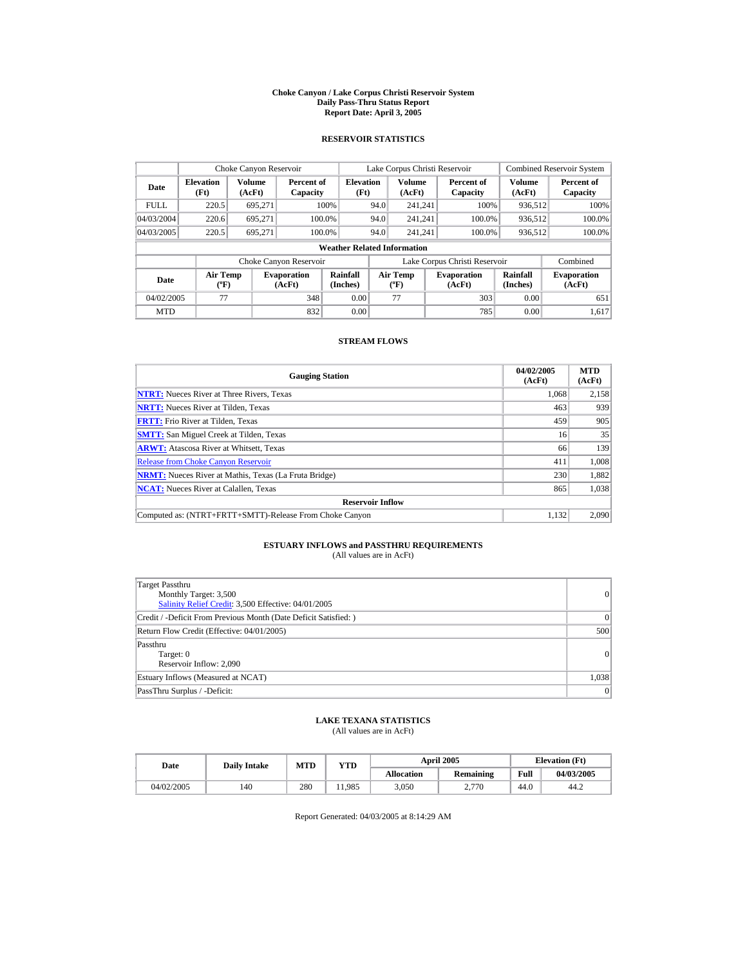#### **Choke Canyon / Lake Corpus Christi Reservoir System Daily Pass-Thru Status Report Report Date: April 3, 2005**

### **RESERVOIR STATISTICS**

|                                                                                     | Choke Canyon Reservoir             |                      |                                                  |                                        |      | Lake Corpus Christi Reservoir |                      |                               |                         | <b>Combined Reservoir System</b> |
|-------------------------------------------------------------------------------------|------------------------------------|----------------------|--------------------------------------------------|----------------------------------------|------|-------------------------------|----------------------|-------------------------------|-------------------------|----------------------------------|
| Volume<br><b>Elevation</b><br>Date<br>(Ft)<br>(AcFt)                                |                                    |                      | Capacity                                         | <b>Elevation</b><br>Percent of<br>(Ft) |      | <b>Volume</b><br>(AcFt)       |                      | Percent of<br>Capacity        | <b>Volume</b><br>(AcFt) | Percent of<br>Capacity           |
| <b>FULL</b>                                                                         | 220.5                              | 695.271              |                                                  | 100%                                   | 94.0 | 241.241                       |                      | 100%                          | 936.512                 | 100%                             |
| 04/03/2004                                                                          | 220.6                              | 695.271              | 100.0%                                           |                                        | 94.0 | 241.241                       |                      | 100.0%                        | 936,512                 | 100.0%                           |
| 04/03/2005                                                                          | 220.5                              | 695.271              | 100.0%                                           |                                        | 94.0 | 241.241                       |                      | 100.0%                        | 936,512                 | $100.0\%$                        |
|                                                                                     | <b>Weather Related Information</b> |                      |                                                  |                                        |      |                               |                      |                               |                         |                                  |
|                                                                                     |                                    |                      | Choke Canyon Reservoir                           |                                        |      |                               |                      | Lake Corpus Christi Reservoir |                         | Combined                         |
| <b>Air Temp</b><br><b>Evaporation</b><br>Date<br>$({}^{\circ}\mathrm{F})$<br>(AcFt) |                                    | Rainfall<br>(Inches) | <b>Air Temp</b><br>$({}^{\mathrm{o}}\mathrm{F})$ |                                        |      | <b>Evaporation</b><br>(AcFt)  | Rainfall<br>(Inches) | <b>Evaporation</b><br>(AcFt)  |                         |                                  |
| 04/02/2005                                                                          | 77                                 |                      | 348                                              | 0.00                                   |      | 77                            |                      | 303                           | 0.00                    | 651                              |
| <b>MTD</b>                                                                          |                                    |                      | 832                                              | 0.00                                   |      |                               |                      | 785                           | 0.00                    | 1.617                            |

### **STREAM FLOWS**

| <b>Gauging Station</b>                                       | 04/02/2005<br>(AcFt) | <b>MTD</b><br>(AcFt) |
|--------------------------------------------------------------|----------------------|----------------------|
| <b>NTRT:</b> Nueces River at Three Rivers, Texas             | 1.068                | 2,158                |
| <b>NRTT:</b> Nueces River at Tilden, Texas                   | 463                  | 939                  |
| <b>FRTT:</b> Frio River at Tilden, Texas                     | 459                  | 905                  |
| <b>SMTT:</b> San Miguel Creek at Tilden, Texas               | 16                   | 35                   |
| <b>ARWT:</b> Atascosa River at Whitsett, Texas               | 66                   | 139                  |
| <b>Release from Choke Canvon Reservoir</b>                   | 411                  | 1,008                |
| <b>NRMT:</b> Nueces River at Mathis, Texas (La Fruta Bridge) | 230                  | 1,882                |
| <b>NCAT:</b> Nueces River at Calallen, Texas                 | 865                  | 1,038                |
| <b>Reservoir Inflow</b>                                      |                      |                      |
| Computed as: (NTRT+FRTT+SMTT)-Release From Choke Canyon      | 1.132                | 2.090                |

# **ESTUARY INFLOWS and PASSTHRU REQUIREMENTS**<br>(All values are in AcFt)

| Target Passthru<br>Monthly Target: 3,500<br>Salinity Relief Credit: 3,500 Effective: 04/01/2005 | 0     |
|-------------------------------------------------------------------------------------------------|-------|
| Credit / -Deficit From Previous Month (Date Deficit Satisfied: )                                | 0     |
| Return Flow Credit (Effective: 04/01/2005)                                                      | 500   |
| Passthru<br>Target: 0<br>Reservoir Inflow: 2,090                                                | 0     |
| Estuary Inflows (Measured at NCAT)                                                              | 1,038 |
| PassThru Surplus / -Deficit:                                                                    | 0     |

## **LAKE TEXANA STATISTICS**

(All values are in AcFt)

| Date       | <b>Daily Intake</b> | <b>MTD</b> | VTD    |                   | <b>April 2005</b> |      | <b>Elevation</b> (Ft) |
|------------|---------------------|------------|--------|-------------------|-------------------|------|-----------------------|
|            |                     |            |        | <b>Allocation</b> | <b>Remaining</b>  | Full | 04/03/2005            |
| 04/02/2005 | 140                 | 280        | 11.985 | 3.050             | 2.770             | 44.0 | 44.2                  |

Report Generated: 04/03/2005 at 8:14:29 AM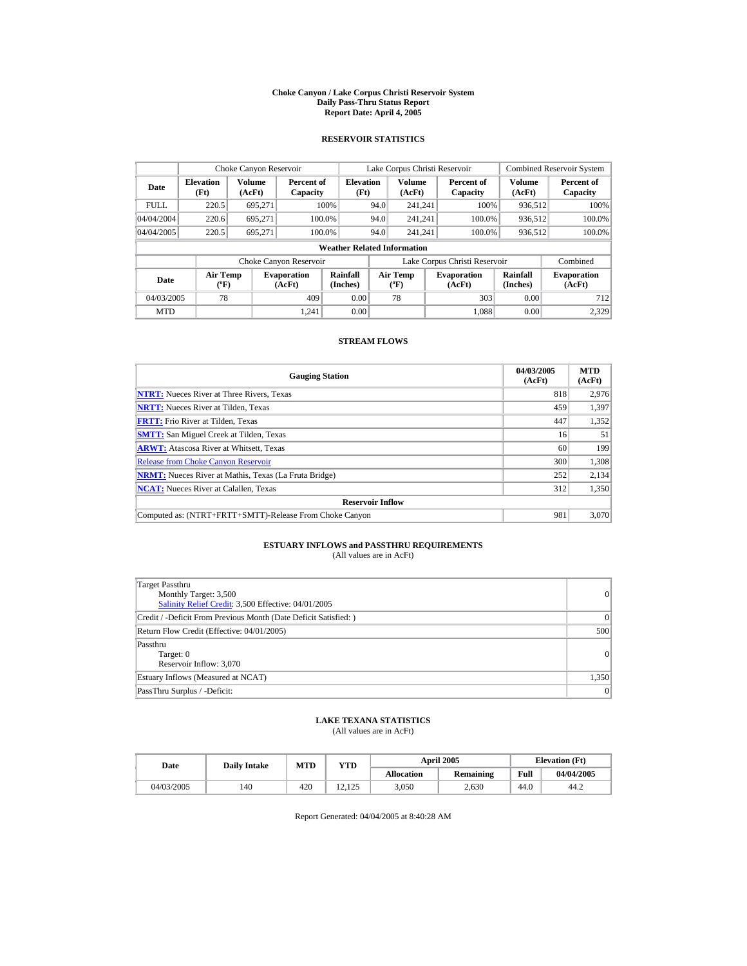#### **Choke Canyon / Lake Corpus Christi Reservoir System Daily Pass-Thru Status Report Report Date: April 4, 2005**

### **RESERVOIR STATISTICS**

|                                  | Choke Canyon Reservoir                      |                  |                              |                          |      | Lake Corpus Christi Reservoir                    |  |                               |                         | <b>Combined Reservoir System</b> |
|----------------------------------|---------------------------------------------|------------------|------------------------------|--------------------------|------|--------------------------------------------------|--|-------------------------------|-------------------------|----------------------------------|
| <b>Elevation</b><br>Date<br>(Ft) |                                             | Volume<br>(AcFt) | Percent of<br>Capacity       | <b>Elevation</b><br>(Ft) |      | <b>Volume</b><br>(AcFt)                          |  | Percent of<br>Capacity        | <b>Volume</b><br>(AcFt) | Percent of<br>Capacity           |
| <b>FULL</b>                      | 220.5                                       | 695.271          |                              | 100%                     | 94.0 | 241.241                                          |  | 100%                          | 936.512                 | 100%                             |
| 04/04/2004                       | 220.6                                       | 695.271          | 100.0%                       |                          | 94.0 | 241.241                                          |  | 100.0%                        | 936,512                 | 100.0%                           |
| 04/04/2005                       | 220.5                                       | 695.271          | 100.0%                       |                          | 94.0 | 241.241                                          |  | 100.0%                        | 936,512                 | $100.0\%$                        |
|                                  | <b>Weather Related Information</b>          |                  |                              |                          |      |                                                  |  |                               |                         |                                  |
|                                  |                                             |                  | Choke Canyon Reservoir       |                          |      |                                                  |  | Lake Corpus Christi Reservoir |                         | Combined                         |
| Date                             | <b>Air Temp</b><br>$({}^{\circ}\mathrm{F})$ |                  | <b>Evaporation</b><br>(AcFt) | Rainfall<br>(Inches)     |      | <b>Air Temp</b><br>$({}^{\mathrm{o}}\mathrm{F})$ |  | <b>Evaporation</b><br>(AcFt)  | Rainfall<br>(Inches)    | <b>Evaporation</b><br>(AcFt)     |
| 04/03/2005                       | 78                                          |                  | 409                          | 0.00                     |      | 78                                               |  | 303                           | 0.00                    | 712                              |
| <b>MTD</b>                       |                                             |                  | 1.241                        | 0.00                     |      |                                                  |  | 1.088                         | 0.00                    | 2.329                            |

### **STREAM FLOWS**

| <b>Gauging Station</b>                                       | 04/03/2005<br>(AcFt) | <b>MTD</b><br>(AcFt) |
|--------------------------------------------------------------|----------------------|----------------------|
| <b>NTRT:</b> Nueces River at Three Rivers, Texas             | 818                  | 2,976                |
| <b>NRTT:</b> Nueces River at Tilden, Texas                   | 459                  | 1,397                |
| <b>FRTT:</b> Frio River at Tilden, Texas                     | 447                  | 1,352                |
| <b>SMTT:</b> San Miguel Creek at Tilden, Texas               | 16                   | 51                   |
| <b>ARWT:</b> Atascosa River at Whitsett, Texas               | 60                   | 199                  |
| <b>Release from Choke Canvon Reservoir</b>                   | 300                  | 1,308                |
| <b>NRMT:</b> Nueces River at Mathis, Texas (La Fruta Bridge) | 252                  | 2,134                |
| <b>NCAT:</b> Nueces River at Calallen, Texas                 | 312                  | 1,350                |
| <b>Reservoir Inflow</b>                                      |                      |                      |
| Computed as: (NTRT+FRTT+SMTT)-Release From Choke Canyon      | 981                  | 3.070                |

# **ESTUARY INFLOWS and PASSTHRU REQUIREMENTS**<br>(All values are in AcFt)

| <b>Target Passthru</b><br>Monthly Target: 3,500<br>Salinity Relief Credit: 3,500 Effective: 04/01/2005 | 0     |
|--------------------------------------------------------------------------------------------------------|-------|
| Credit / -Deficit From Previous Month (Date Deficit Satisfied: )                                       | 0     |
| Return Flow Credit (Effective: 04/01/2005)                                                             | 500   |
| Passthru<br>Target: 0<br>Reservoir Inflow: 3,070                                                       | 0     |
| Estuary Inflows (Measured at NCAT)                                                                     | 1,350 |
| PassThru Surplus / -Deficit:                                                                           | 0     |

## **LAKE TEXANA STATISTICS**

(All values are in AcFt)

| Date       | <b>Daily Intake</b> | <b>MTD</b> | <b>VTD</b>                    |                   | <b>April 2005</b> | <b>Elevation</b> (Ft) |            |
|------------|---------------------|------------|-------------------------------|-------------------|-------------------|-----------------------|------------|
|            |                     |            |                               | <b>Allocation</b> | <b>Remaining</b>  | Full                  | 04/04/2005 |
| 04/03/2005 | 140                 | 420        | 125<br>$\mathbf{A}$<br>12.12J | 3.050             | 2.630             | 44.0                  | 44.2       |

Report Generated: 04/04/2005 at 8:40:28 AM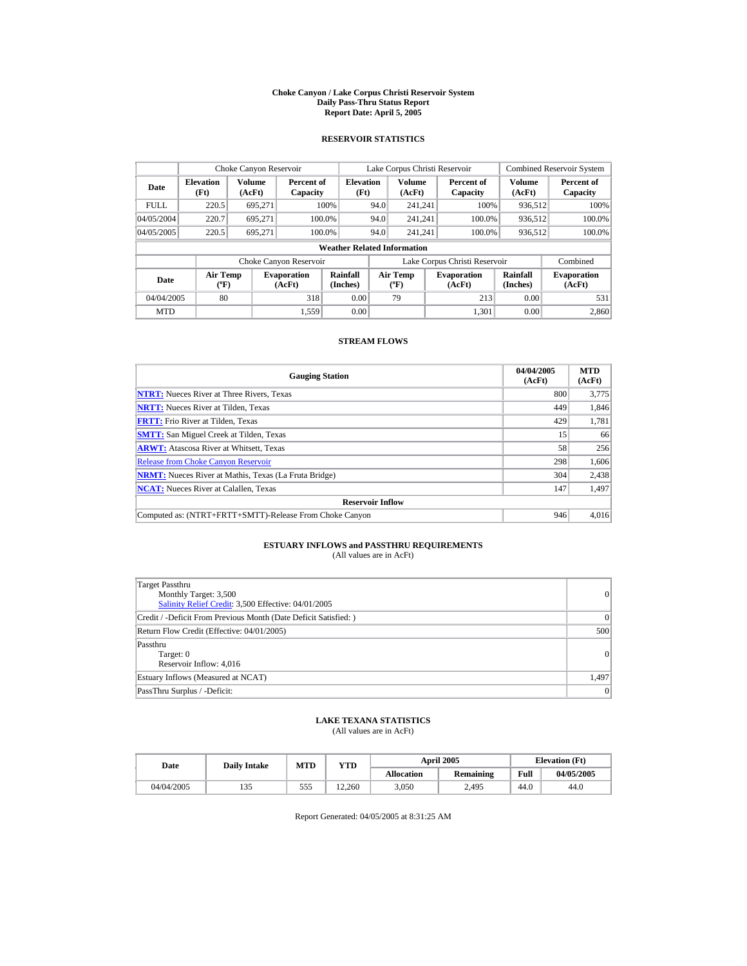#### **Choke Canyon / Lake Corpus Christi Reservoir System Daily Pass-Thru Status Report Report Date: April 5, 2005**

### **RESERVOIR STATISTICS**

| Choke Canyon Reservoir                     |                                             |         |                              |                          |                               | Lake Corpus Christi Reservoir            |  |                              |                      | <b>Combined Reservoir System</b> |
|--------------------------------------------|---------------------------------------------|---------|------------------------------|--------------------------|-------------------------------|------------------------------------------|--|------------------------------|----------------------|----------------------------------|
| <b>Elevation</b><br>Date<br>(AcFt)<br>(Ft) |                                             | Volume  | Percent of<br>Capacity       | <b>Elevation</b><br>(Ft) |                               | <b>Volume</b><br>(AcFt)                  |  | Percent of<br>Capacity       | Volume<br>(AcFt)     | Percent of<br>Capacity           |
| <b>FULL</b>                                | 220.5                                       | 695.271 |                              | 100%                     | 94.0                          | 241.241                                  |  | 100%                         | 936.512              | 100%                             |
| 04/05/2004                                 | 220.7                                       | 695.271 |                              | 100.0%                   | 94.0                          | 241.241                                  |  | 100.0%                       | 936,512              | 100.0%                           |
| 04/05/2005                                 | 220.5                                       | 695.271 |                              | 100.0%                   | 94.0                          | 241.241                                  |  | 100.0%                       | 936,512              | 100.0%                           |
|                                            | <b>Weather Related Information</b>          |         |                              |                          |                               |                                          |  |                              |                      |                                  |
|                                            |                                             |         | Choke Canyon Reservoir       |                          | Lake Corpus Christi Reservoir |                                          |  |                              | Combined             |                                  |
| Date                                       | <b>Air Temp</b><br>$({}^{\circ}\mathrm{F})$ |         | <b>Evaporation</b><br>(AcFt) | Rainfall<br>(Inches)     |                               | <b>Air Temp</b><br>$({}^{\circ}{\rm F})$ |  | <b>Evaporation</b><br>(AcFt) | Rainfall<br>(Inches) | <b>Evaporation</b><br>(AcFt)     |
| 04/04/2005                                 | 80                                          |         | 318                          | 0.00                     |                               | 79                                       |  | 213                          | 0.00                 | 531                              |
| <b>MTD</b>                                 |                                             |         | 1.559                        | 0.00                     |                               |                                          |  | 1.301                        | 0.00                 | 2.860                            |

### **STREAM FLOWS**

| <b>Gauging Station</b>                                       | 04/04/2005<br>(AcFt) | <b>MTD</b><br>(AcFt) |
|--------------------------------------------------------------|----------------------|----------------------|
| <b>NTRT:</b> Nueces River at Three Rivers, Texas             | 800                  | 3,775                |
| <b>NRTT:</b> Nueces River at Tilden, Texas                   | 449                  | 1,846                |
| <b>FRTT:</b> Frio River at Tilden, Texas                     | 429                  | 1,781                |
| <b>SMTT:</b> San Miguel Creek at Tilden, Texas               | 15                   | 66                   |
| <b>ARWT:</b> Atascosa River at Whitsett, Texas               | 58                   | 256                  |
| <b>Release from Choke Canvon Reservoir</b>                   | 298                  | 1,606                |
| <b>NRMT:</b> Nueces River at Mathis, Texas (La Fruta Bridge) | 304                  | 2,438                |
| <b>NCAT:</b> Nueces River at Calallen, Texas                 | 147                  | 1,497                |
| <b>Reservoir Inflow</b>                                      |                      |                      |
| Computed as: (NTRT+FRTT+SMTT)-Release From Choke Canyon      | 946                  | 4.016                |

# **ESTUARY INFLOWS and PASSTHRU REQUIREMENTS**<br>(All values are in AcFt)

| Target Passthru<br>Monthly Target: 3,500<br>Salinity Relief Credit: 3,500 Effective: 04/01/2005 | 0         |
|-------------------------------------------------------------------------------------------------|-----------|
| Credit / -Deficit From Previous Month (Date Deficit Satisfied: )                                | $\vert$ 0 |
| Return Flow Credit (Effective: 04/01/2005)                                                      | 500       |
| Passthru<br>Target: 0<br>Reservoir Inflow: 4,016                                                | 0         |
| Estuary Inflows (Measured at NCAT)                                                              | 1,497     |
| PassThru Surplus / -Deficit:                                                                    | 0         |

### **LAKE TEXANA STATISTICS**

(All values are in AcFt)

| Date       | <b>Daily Intake</b> | MTD | YTD    |                   | <b>April 2005</b> |      | <b>Elevation</b> (Ft) |
|------------|---------------------|-----|--------|-------------------|-------------------|------|-----------------------|
|            |                     |     |        | <b>Allocation</b> | <b>Remaining</b>  | Full | 04/05/2005            |
| 04/04/2005 | 135                 | 555 | 12.260 | 3.050             | 2.495             | 44.0 | 44.0                  |

Report Generated: 04/05/2005 at 8:31:25 AM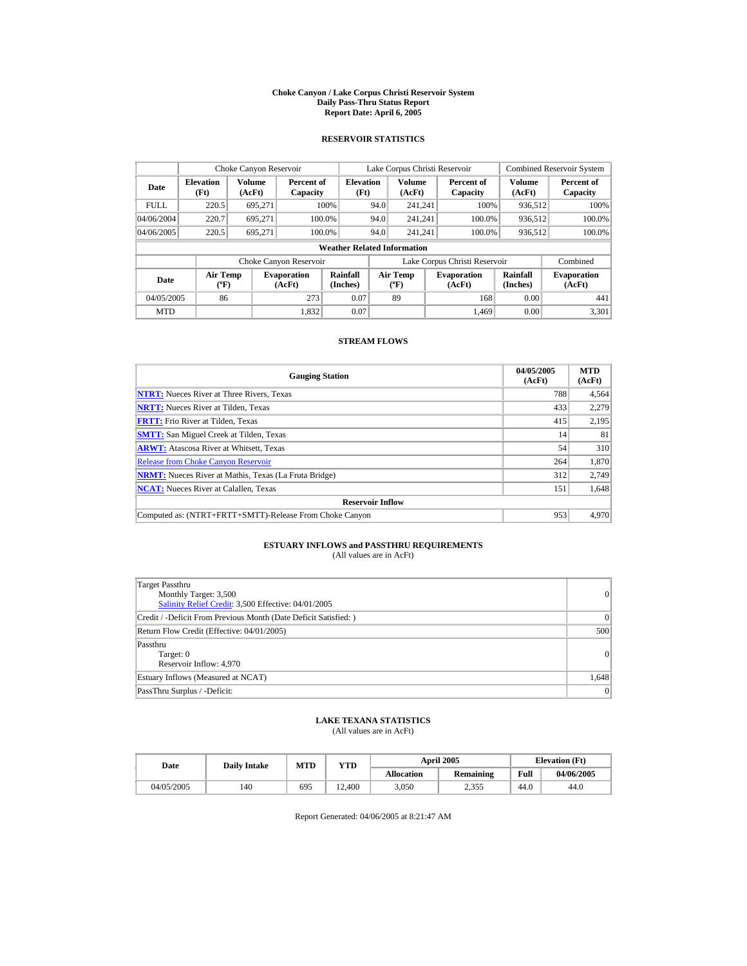#### **Choke Canyon / Lake Corpus Christi Reservoir System Daily Pass-Thru Status Report Report Date: April 6, 2005**

### **RESERVOIR STATISTICS**

|                                                      | Choke Canyon Reservoir               |         |                              |                          |      | Lake Corpus Christi Reservoir                    |  |                               |                         | <b>Combined Reservoir System</b> |
|------------------------------------------------------|--------------------------------------|---------|------------------------------|--------------------------|------|--------------------------------------------------|--|-------------------------------|-------------------------|----------------------------------|
| Volume<br><b>Elevation</b><br>Date<br>(Ft)<br>(AcFt) |                                      |         | Percent of<br>Capacity       | <b>Elevation</b><br>(Ft) |      | <b>Volume</b><br>(AcFt)                          |  | Percent of<br>Capacity        | <b>Volume</b><br>(AcFt) | Percent of<br>Capacity           |
| <b>FULL</b>                                          | 220.5                                | 695.271 |                              | 100%                     | 94.0 | 241.241                                          |  | 100%                          | 936.512                 | 100%                             |
| 04/06/2004                                           | 220.7                                | 695.271 | 100.0%                       |                          | 94.0 | 241.241                                          |  | 100.0%                        | 936,512                 | 100.0%                           |
| 04/06/2005                                           | 220.5                                | 695.271 | 100.0%                       |                          | 94.0 | 241.241                                          |  | 100.0%                        | 936,512                 | $100.0\%$                        |
|                                                      | <b>Weather Related Information</b>   |         |                              |                          |      |                                                  |  |                               |                         |                                  |
|                                                      |                                      |         | Choke Canyon Reservoir       |                          |      |                                                  |  | Lake Corpus Christi Reservoir |                         | Combined                         |
| Date                                                 | Air Temp<br>$({}^{\circ}\mathrm{F})$ |         | <b>Evaporation</b><br>(AcFt) | Rainfall<br>(Inches)     |      | <b>Air Temp</b><br>$({}^{\mathrm{o}}\mathrm{F})$ |  | <b>Evaporation</b><br>(AcFt)  | Rainfall<br>(Inches)    | <b>Evaporation</b><br>(AcFt)     |
| 04/05/2005                                           | 86                                   |         | 273                          | 0.07                     |      | 89                                               |  | 168                           | 0.00                    | 441                              |
| <b>MTD</b>                                           |                                      |         | 1.832                        | 0.07                     |      |                                                  |  | 1.469                         | 0.00                    | 3.301                            |

### **STREAM FLOWS**

| <b>Gauging Station</b>                                       | 04/05/2005<br>(AcFt) | <b>MTD</b><br>(AcFt) |
|--------------------------------------------------------------|----------------------|----------------------|
| <b>NTRT:</b> Nueces River at Three Rivers, Texas             | 788                  | 4,564                |
| <b>NRTT:</b> Nueces River at Tilden, Texas                   | 433                  | 2.279                |
| <b>FRTT:</b> Frio River at Tilden, Texas                     | 415                  | 2,195                |
| <b>SMTT:</b> San Miguel Creek at Tilden, Texas               | 14                   | 81                   |
| <b>ARWT:</b> Atascosa River at Whitsett, Texas               | 54                   | 310                  |
| <b>Release from Choke Canvon Reservoir</b>                   | 264                  | 1,870                |
| <b>NRMT:</b> Nueces River at Mathis, Texas (La Fruta Bridge) | 312                  | 2,749                |
| <b>NCAT:</b> Nueces River at Calallen, Texas                 | 151                  | 1,648                |
| <b>Reservoir Inflow</b>                                      |                      |                      |
| Computed as: (NTRT+FRTT+SMTT)-Release From Choke Canyon      | 953                  | 4.970                |

# **ESTUARY INFLOWS and PASSTHRU REQUIREMENTS**<br>(All values are in AcFt)

| <b>Target Passthru</b><br>Monthly Target: 3,500<br>Salinity Relief Credit: 3,500 Effective: 04/01/2005 | 0     |
|--------------------------------------------------------------------------------------------------------|-------|
| Credit / -Deficit From Previous Month (Date Deficit Satisfied: )                                       | 0     |
| Return Flow Credit (Effective: 04/01/2005)                                                             | 500   |
| Passthru<br>Target: 0<br>Reservoir Inflow: 4,970                                                       | 0     |
| Estuary Inflows (Measured at NCAT)                                                                     | 1,648 |
| PassThru Surplus / -Deficit:                                                                           | 0     |

### **LAKE TEXANA STATISTICS**

(All values are in AcFt)

| Date       | <b>Daily Intake</b> | <b>MTD</b> | YTD                  |                   | <b>April 2005</b> | <b>Elevation</b> (Ft) |            |
|------------|---------------------|------------|----------------------|-------------------|-------------------|-----------------------|------------|
|            |                     |            |                      | <b>Allocation</b> | <b>Remaining</b>  | Full                  | 04/06/2005 |
| 04/05/2005 | 140                 | 695        | .400<br>$12^{\circ}$ | 3.050             | 2.355             | 44.0                  | 44.0       |

Report Generated: 04/06/2005 at 8:21:47 AM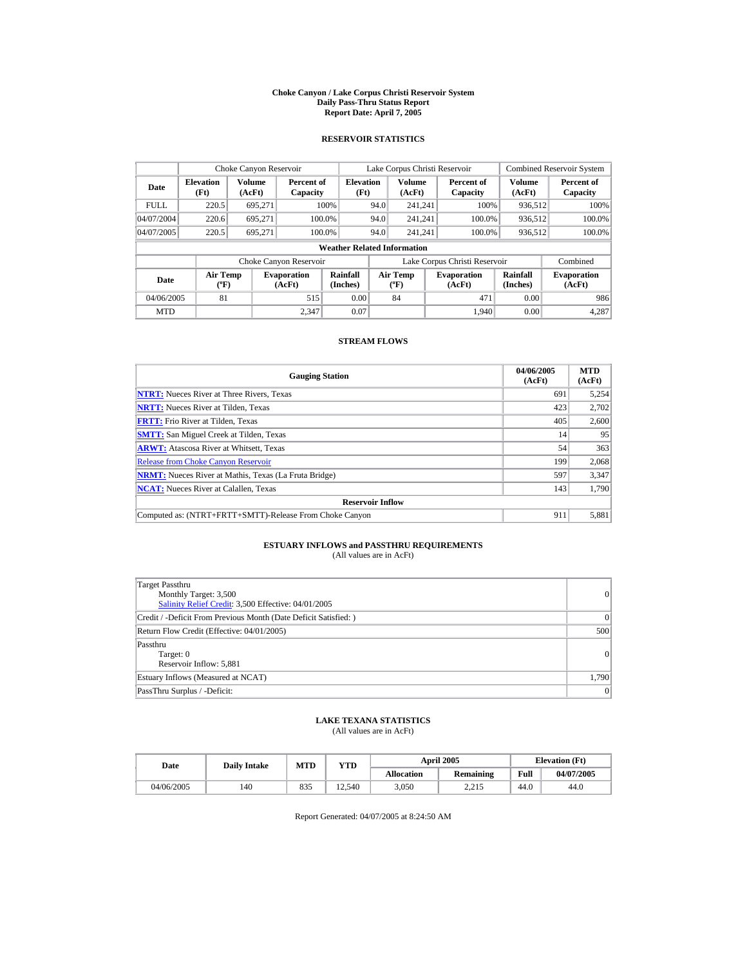#### **Choke Canyon / Lake Corpus Christi Reservoir System Daily Pass-Thru Status Report Report Date: April 7, 2005**

### **RESERVOIR STATISTICS**

|             | Choke Canyon Reservoir      |                  |                              |                                    |      | Lake Corpus Christi Reservoir                    |                               |                         | <b>Combined Reservoir System</b> |
|-------------|-----------------------------|------------------|------------------------------|------------------------------------|------|--------------------------------------------------|-------------------------------|-------------------------|----------------------------------|
| Date        | <b>Elevation</b><br>(Ft)    | Volume<br>(AcFt) | Percent of<br>Capacity       | <b>Elevation</b><br>(Ft)           |      | <b>Volume</b><br>(AcFt)                          | Percent of<br>Capacity        | <b>Volume</b><br>(AcFt) | Percent of<br>Capacity           |
| <b>FULL</b> | 220.5                       | 695.271          |                              | 100%                               | 94.0 | 241.241                                          | 100%                          | 936.512                 | 100%                             |
| 04/07/2004  | 220.6                       | 695.271          | 100.0%                       |                                    | 94.0 | 241.241                                          | 100.0%                        | 936,512                 | 100.0%                           |
| 04/07/2005  | 220.5                       | 695.271          | 100.0%                       |                                    | 94.0 | 241.241                                          | 100.0%                        | 936,512                 | $100.0\%$                        |
|             |                             |                  |                              | <b>Weather Related Information</b> |      |                                                  |                               |                         |                                  |
|             |                             |                  | Choke Canyon Reservoir       |                                    |      |                                                  | Lake Corpus Christi Reservoir |                         | Combined                         |
| Date        | Air Temp<br>$({}^{\circ}F)$ |                  | <b>Evaporation</b><br>(AcFt) | Rainfall<br>(Inches)               |      | <b>Air Temp</b><br>$({}^{\mathrm{o}}\mathrm{F})$ | <b>Evaporation</b><br>(AcFt)  | Rainfall<br>(Inches)    | <b>Evaporation</b><br>(AcFt)     |
| 04/06/2005  | 81                          |                  | 515                          | 0.00                               |      | 84                                               | 471                           | 0.00                    | 986                              |
| <b>MTD</b>  |                             |                  | 2,347                        | 0.07                               |      |                                                  | 1.940                         | 0.00                    | 4.287                            |

### **STREAM FLOWS**

| <b>Gauging Station</b>                                       | 04/06/2005<br>(AcFt) | <b>MTD</b><br>(AcFt) |
|--------------------------------------------------------------|----------------------|----------------------|
| <b>NTRT:</b> Nueces River at Three Rivers, Texas             | 691                  | 5,254                |
| <b>NRTT:</b> Nueces River at Tilden, Texas                   | 423                  | 2,702                |
| <b>FRTT:</b> Frio River at Tilden, Texas                     | 405                  | 2,600                |
| <b>SMTT:</b> San Miguel Creek at Tilden, Texas               | 14                   | 95                   |
| <b>ARWT:</b> Atascosa River at Whitsett, Texas               | 54                   | 363                  |
| <b>Release from Choke Canyon Reservoir</b>                   | 199                  | 2,068                |
| <b>NRMT:</b> Nueces River at Mathis, Texas (La Fruta Bridge) | 597                  | 3,347                |
| <b>NCAT:</b> Nueces River at Calallen, Texas                 | 143                  | 1.790                |
| <b>Reservoir Inflow</b>                                      |                      |                      |
| Computed as: (NTRT+FRTT+SMTT)-Release From Choke Canyon      | 911                  | 5,881                |

# **ESTUARY INFLOWS and PASSTHRU REQUIREMENTS**<br>(All values are in AcFt)

| Target Passthru<br>Monthly Target: 3,500<br>Salinity Relief Credit: 3,500 Effective: 04/01/2005 | 0        |
|-------------------------------------------------------------------------------------------------|----------|
| Credit / -Deficit From Previous Month (Date Deficit Satisfied: )                                | $\Omega$ |
| Return Flow Credit (Effective: 04/01/2005)                                                      | 500      |
| Passthru<br>Target: 0<br>Reservoir Inflow: 5,881                                                | 0        |
| Estuary Inflows (Measured at NCAT)                                                              | 1,790    |
| PassThru Surplus / -Deficit:                                                                    | 0        |

### **LAKE TEXANA STATISTICS**

(All values are in AcFt)

| Date       | <b>Daily Intake</b> | MTD | YTD    |                   | <b>April 2005</b> |      | <b>Elevation</b> (Ft) |
|------------|---------------------|-----|--------|-------------------|-------------------|------|-----------------------|
|            |                     |     |        | <b>Allocation</b> | <b>Remaining</b>  | Full | 04/07/2005            |
| 04/06/2005 | 140                 | 835 | 12.540 | 3.050             | 2.215             | 44.0 | 44.0                  |

Report Generated: 04/07/2005 at 8:24:50 AM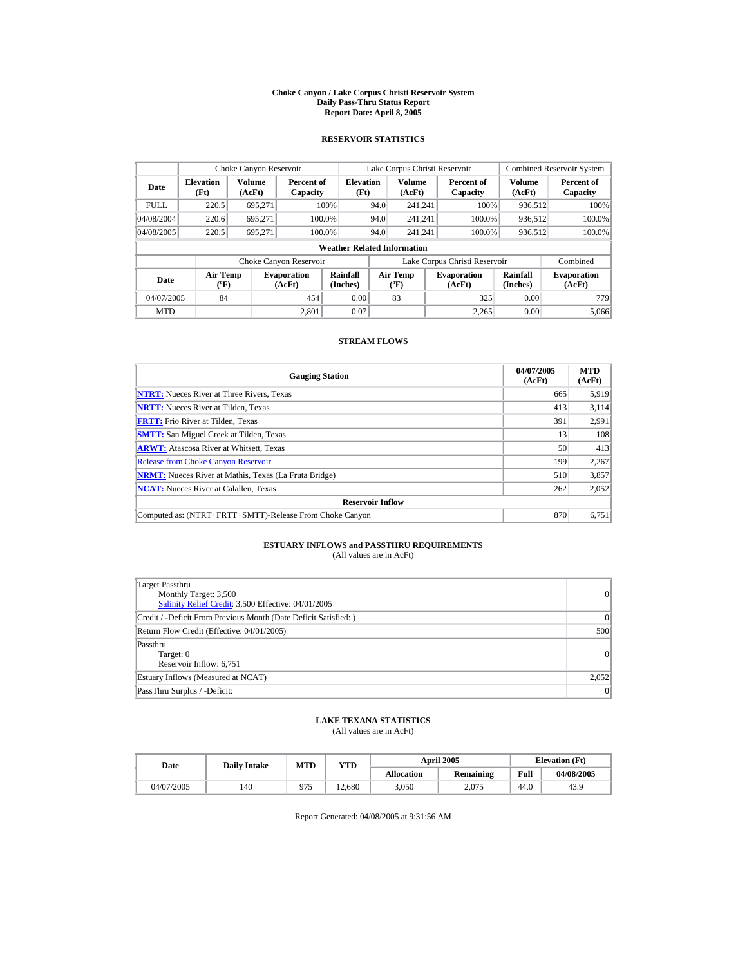#### **Choke Canyon / Lake Corpus Christi Reservoir System Daily Pass-Thru Status Report Report Date: April 8, 2005**

### **RESERVOIR STATISTICS**

|             | Choke Canyon Reservoir               |                  |                              |                                    |      | Lake Corpus Christi Reservoir                    |                               |                         | <b>Combined Reservoir System</b> |
|-------------|--------------------------------------|------------------|------------------------------|------------------------------------|------|--------------------------------------------------|-------------------------------|-------------------------|----------------------------------|
| Date        | <b>Elevation</b><br>(Ft)             | Volume<br>(AcFt) | Percent of<br>Capacity       | <b>Elevation</b><br>(Ft)           |      | <b>Volume</b><br>(AcFt)                          | Percent of<br>Capacity        | <b>Volume</b><br>(AcFt) | Percent of<br>Capacity           |
| <b>FULL</b> | 220.5                                | 695.271          |                              | 100%                               | 94.0 | 241.241                                          | 100%                          | 936,512                 | 100%                             |
| 04/08/2004  | 220.6                                | 695.271          | 100.0%                       |                                    | 94.0 | 241.241                                          | 100.0%                        | 936,512                 | 100.0%                           |
| 04/08/2005  | 220.5                                | 695.271          | 100.0%                       |                                    | 94.0 | 241.241                                          | 100.0%                        | 936.512                 | 100.0%                           |
|             |                                      |                  |                              | <b>Weather Related Information</b> |      |                                                  |                               |                         |                                  |
|             |                                      |                  | Choke Canyon Reservoir       |                                    |      |                                                  | Lake Corpus Christi Reservoir |                         | Combined                         |
| Date        | Air Temp<br>$({}^{\circ}\mathrm{F})$ |                  | <b>Evaporation</b><br>(AcFt) | Rainfall<br>(Inches)               |      | <b>Air Temp</b><br>$({}^{\mathrm{o}}\mathrm{F})$ | <b>Evaporation</b><br>(AcFt)  | Rainfall<br>(Inches)    | <b>Evaporation</b><br>(AcFt)     |
| 04/07/2005  | 84                                   |                  | 454                          | 0.00                               |      | 83                                               | 325                           | 0.00                    | 779                              |
| <b>MTD</b>  |                                      |                  | 2.801                        | 0.07                               |      |                                                  | 2,265                         | 0.00                    | 5.066                            |

### **STREAM FLOWS**

| <b>Gauging Station</b>                                       | 04/07/2005<br>(AcFt) | <b>MTD</b><br>(AcFt) |
|--------------------------------------------------------------|----------------------|----------------------|
| <b>NTRT:</b> Nueces River at Three Rivers, Texas             | 665                  | 5,919                |
| <b>NRTT:</b> Nueces River at Tilden, Texas                   | 413                  | 3.114                |
| <b>FRTT:</b> Frio River at Tilden, Texas                     | 391                  | 2,991                |
| <b>SMTT:</b> San Miguel Creek at Tilden, Texas               | 13                   | 108                  |
| <b>ARWT:</b> Atascosa River at Whitsett, Texas               | 50                   | 413                  |
| <b>Release from Choke Canyon Reservoir</b>                   | 199                  | 2,267                |
| <b>NRMT:</b> Nueces River at Mathis, Texas (La Fruta Bridge) | 510                  | 3,857                |
| <b>NCAT:</b> Nueces River at Calallen, Texas                 | 262                  | 2,052                |
| <b>Reservoir Inflow</b>                                      |                      |                      |
| Computed as: (NTRT+FRTT+SMTT)-Release From Choke Canyon      | 870                  | 6.751                |

# **ESTUARY INFLOWS and PASSTHRU REQUIREMENTS**<br>(All values are in AcFt)

| Target Passthru<br>Monthly Target: 3,500<br>Salinity Relief Credit: 3,500 Effective: 04/01/2005 | 0               |
|-------------------------------------------------------------------------------------------------|-----------------|
| Credit / -Deficit From Previous Month (Date Deficit Satisfied: )                                | $\vert 0 \vert$ |
| Return Flow Credit (Effective: 04/01/2005)                                                      | 500             |
| Passthru<br>Target: 0<br>Reservoir Inflow: 6,751                                                | 0               |
| Estuary Inflows (Measured at NCAT)                                                              | 2,052           |
| PassThru Surplus / -Deficit:                                                                    | 0               |

### **LAKE TEXANA STATISTICS**

(All values are in AcFt)

| Date       | <b>Daily Intake</b> | MTD | YTD    | <b>April 2005</b> |                  | <b>Elevation</b> (Ft) |            |
|------------|---------------------|-----|--------|-------------------|------------------|-----------------------|------------|
|            |                     |     |        | <b>Allocation</b> | <b>Remaining</b> | Full                  | 04/08/2005 |
| 04/07/2005 | 140                 | 975 | 12.680 | 3.050             | 2.075            | 44.0                  | 43.9       |

Report Generated: 04/08/2005 at 9:31:56 AM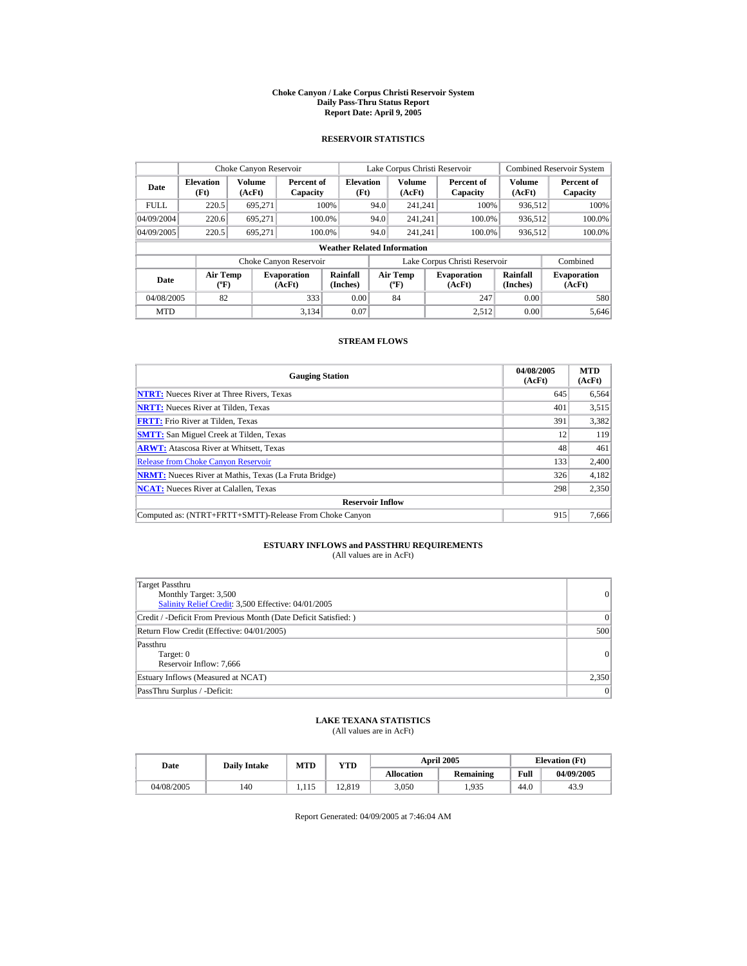#### **Choke Canyon / Lake Corpus Christi Reservoir System Daily Pass-Thru Status Report Report Date: April 9, 2005**

### **RESERVOIR STATISTICS**

|             | Choke Canyon Reservoir             |                  |                              |                          |      | Lake Corpus Christi Reservoir                    |  |                               |                         | <b>Combined Reservoir System</b> |
|-------------|------------------------------------|------------------|------------------------------|--------------------------|------|--------------------------------------------------|--|-------------------------------|-------------------------|----------------------------------|
| Date        | <b>Elevation</b><br>(Ft)           | Volume<br>(AcFt) | Percent of<br>Capacity       | <b>Elevation</b><br>(Ft) |      | <b>Volume</b><br>(AcFt)                          |  | Percent of<br>Capacity        | <b>Volume</b><br>(AcFt) | Percent of<br>Capacity           |
| <b>FULL</b> | 220.5                              | 695.271          |                              | 100%                     | 94.0 | 241.241                                          |  | 100%                          | 936.512                 | 100%                             |
| 04/09/2004  | 220.6                              | 695.271          |                              | 100.0%                   | 94.0 | 241.241                                          |  | 100.0%                        | 936,512                 | 100.0%                           |
| 04/09/2005  | 220.5                              | 695.271          |                              | 100.0%                   | 94.0 | 241.241                                          |  | 100.0%                        | 936,512                 | $100.0\%$                        |
|             | <b>Weather Related Information</b> |                  |                              |                          |      |                                                  |  |                               |                         |                                  |
|             |                                    |                  | Choke Canyon Reservoir       |                          |      |                                                  |  | Lake Corpus Christi Reservoir |                         | Combined                         |
| Date        | Air Temp<br>$({}^{\circ}F)$        |                  | <b>Evaporation</b><br>(AcFt) | Rainfall<br>(Inches)     |      | <b>Air Temp</b><br>$({}^{\mathrm{o}}\mathrm{F})$ |  | <b>Evaporation</b><br>(AcFt)  | Rainfall<br>(Inches)    | <b>Evaporation</b><br>(AcFt)     |
| 04/08/2005  | 82                                 |                  | 333                          | 0.00                     |      | 84                                               |  | 247                           | 0.00                    | 580                              |
| <b>MTD</b>  |                                    |                  | 3.134                        | 0.07                     |      |                                                  |  | 2.512                         | 0.00                    | 5.646                            |

### **STREAM FLOWS**

| <b>Gauging Station</b>                                       | 04/08/2005<br>(AcFt) | <b>MTD</b><br>(AcFt) |
|--------------------------------------------------------------|----------------------|----------------------|
| <b>NTRT:</b> Nueces River at Three Rivers, Texas             | 645                  | 6,564                |
| <b>NRTT:</b> Nueces River at Tilden, Texas                   | 401                  | 3,515                |
| <b>FRTT:</b> Frio River at Tilden, Texas                     | 391                  | 3,382                |
| <b>SMTT:</b> San Miguel Creek at Tilden, Texas               | 12                   | 119                  |
| <b>ARWT:</b> Atascosa River at Whitsett, Texas               | 48                   | 461                  |
| <b>Release from Choke Canvon Reservoir</b>                   | 133                  | 2,400                |
| <b>NRMT:</b> Nueces River at Mathis, Texas (La Fruta Bridge) | 326                  | 4,182                |
| <b>NCAT:</b> Nueces River at Calallen, Texas                 | 298                  | 2,350                |
| <b>Reservoir Inflow</b>                                      |                      |                      |
| Computed as: (NTRT+FRTT+SMTT)-Release From Choke Canyon      | 915                  | 7.666                |

# **ESTUARY INFLOWS and PASSTHRU REQUIREMENTS**<br>(All values are in AcFt)

| Target Passthru<br>Monthly Target: 3,500<br>Salinity Relief Credit: 3,500 Effective: 04/01/2005 | 0     |
|-------------------------------------------------------------------------------------------------|-------|
| Credit / -Deficit From Previous Month (Date Deficit Satisfied: )                                | 0     |
| Return Flow Credit (Effective: 04/01/2005)                                                      | 500   |
| Passthru<br>Target: 0<br>Reservoir Inflow: 7,666                                                | 0     |
| Estuary Inflows (Measured at NCAT)                                                              | 2,350 |
| PassThru Surplus / -Deficit:                                                                    | 0     |

### **LAKE TEXANA STATISTICS**

(All values are in AcFt)

| Date       | <b>Daily Intake</b> | <b>MTD</b><br>YTD |        |                   | <b>April 2005</b> |      | <b>Elevation</b> (Ft) |
|------------|---------------------|-------------------|--------|-------------------|-------------------|------|-----------------------|
|            |                     |                   |        | <b>Allocation</b> | <b>Remaining</b>  | Full | 04/09/2005            |
| 04/08/2005 | 140                 | 1.115             | 12.819 | 3.050             | .935              | 44.0 | 43.9                  |

Report Generated: 04/09/2005 at 7:46:04 AM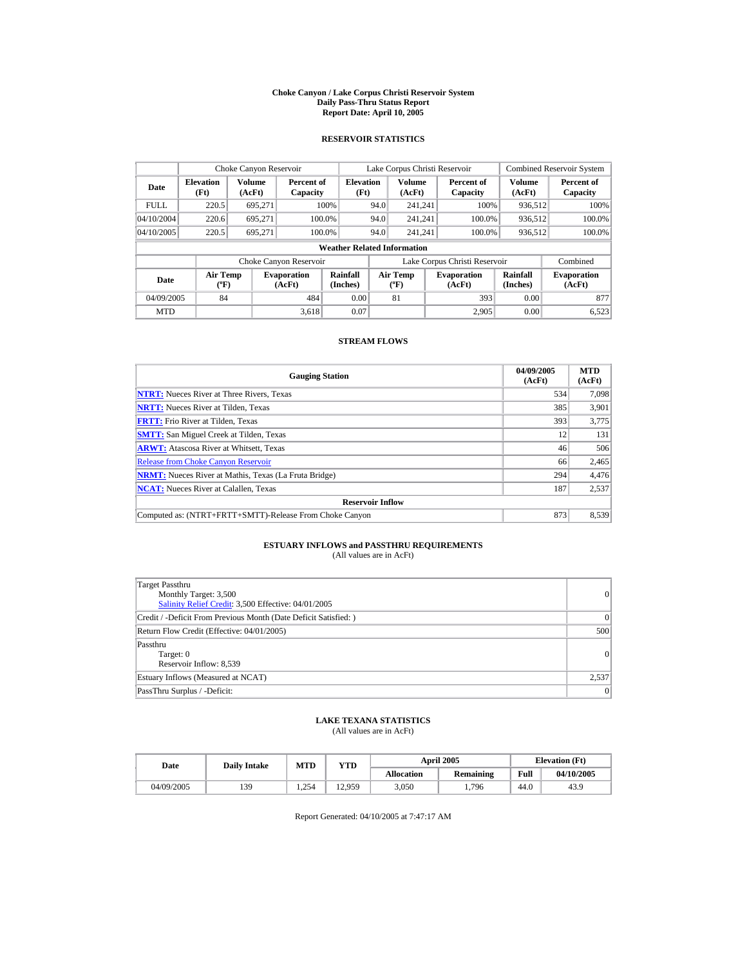#### **Choke Canyon / Lake Corpus Christi Reservoir System Daily Pass-Thru Status Report Report Date: April 10, 2005**

### **RESERVOIR STATISTICS**

|                                    | Choke Canyon Reservoir                      |                  |                              |                          |      | Lake Corpus Christi Reservoir                    |                               |                      | <b>Combined Reservoir System</b> |
|------------------------------------|---------------------------------------------|------------------|------------------------------|--------------------------|------|--------------------------------------------------|-------------------------------|----------------------|----------------------------------|
| Date                               | <b>Elevation</b><br>(Ft)                    | Volume<br>(AcFt) | Percent of<br>Capacity       | <b>Elevation</b><br>(Ft) |      | <b>Volume</b><br>(AcFt)                          | Percent of<br>Capacity        | Volume<br>(AcFt)     | Percent of<br>Capacity           |
| <b>FULL</b>                        | 220.5                                       | 695,271          |                              | 100%                     | 94.0 | 241.241                                          | 100%                          | 936,512              | 100%                             |
| 04/10/2004                         | 220.6                                       | 695.271          | 100.0%                       |                          | 94.0 | 241.241                                          | 100.0%                        | 936,512              | 100.0%                           |
| 04/10/2005                         | 220.5                                       | 695.271          | 100.0%                       |                          | 94.0 | 241.241                                          | 100.0%                        | 936,512              | 100.0%                           |
| <b>Weather Related Information</b> |                                             |                  |                              |                          |      |                                                  |                               |                      |                                  |
|                                    |                                             |                  | Choke Canyon Reservoir       |                          |      |                                                  | Lake Corpus Christi Reservoir |                      | Combined                         |
| Date                               | <b>Air Temp</b><br>$({}^{\circ}\mathrm{F})$ |                  | <b>Evaporation</b><br>(AcFt) | Rainfall<br>(Inches)     |      | <b>Air Temp</b><br>$({}^{\mathrm{o}}\mathrm{F})$ | <b>Evaporation</b><br>(AcFt)  | Rainfall<br>(Inches) | <b>Evaporation</b><br>(AcFt)     |
| 04/09/2005                         | 84                                          |                  | 484                          | 0.00                     |      | 81                                               | 393                           | 0.00                 | 877                              |
| <b>MTD</b>                         |                                             |                  | 3.618                        | 0.07                     |      |                                                  | 2.905                         | 0.00                 | 6,523                            |

### **STREAM FLOWS**

| <b>Gauging Station</b>                                       | 04/09/2005<br>(AcFt) | <b>MTD</b><br>(AcFt) |
|--------------------------------------------------------------|----------------------|----------------------|
| <b>NTRT:</b> Nueces River at Three Rivers, Texas             | 534                  | 7.098                |
| <b>NRTT:</b> Nueces River at Tilden, Texas                   | 385                  | 3,901                |
| <b>FRTT:</b> Frio River at Tilden, Texas                     | 393                  | 3,775                |
| <b>SMTT:</b> San Miguel Creek at Tilden, Texas               | 12                   | 131                  |
| <b>ARWT:</b> Atascosa River at Whitsett, Texas               | 46                   | 506                  |
| <b>Release from Choke Canyon Reservoir</b>                   | 66                   | 2,465                |
| <b>NRMT:</b> Nueces River at Mathis, Texas (La Fruta Bridge) | 294                  | 4,476                |
| <b>NCAT:</b> Nueces River at Calallen, Texas                 | 187                  | 2,537                |
| <b>Reservoir Inflow</b>                                      |                      |                      |
| Computed as: (NTRT+FRTT+SMTT)-Release From Choke Canyon      | 873                  | 8,539                |

# **ESTUARY INFLOWS and PASSTHRU REQUIREMENTS**<br>(All values are in AcFt)

| Target Passthru<br>Monthly Target: 3,500<br>Salinity Relief Credit: 3,500 Effective: 04/01/2005 | $\vert 0 \vert$ |
|-------------------------------------------------------------------------------------------------|-----------------|
| Credit / -Deficit From Previous Month (Date Deficit Satisfied: )                                | $\Omega$        |
| Return Flow Credit (Effective: 04/01/2005)                                                      | 500             |
| Passthru<br>Target: 0<br>Reservoir Inflow: 8,539                                                | 0               |
| Estuary Inflows (Measured at NCAT)                                                              | 2,537           |
| PassThru Surplus / -Deficit:                                                                    | 0               |

### **LAKE TEXANA STATISTICS**

(All values are in AcFt)

| Date       | <b>Daily Intake</b> | <b>MTD</b> | <b>April 2005</b><br>YTD |                   |                  |      | <b>Elevation</b> (Ft) |
|------------|---------------------|------------|--------------------------|-------------------|------------------|------|-----------------------|
|            |                     |            |                          | <b>Allocation</b> | <b>Remaining</b> | Full | 04/10/2005            |
| 04/09/2005 | 139                 | 1.254      | 12.959                   | 3.050             | 1,796            | 44.0 | 43.9                  |

Report Generated: 04/10/2005 at 7:47:17 AM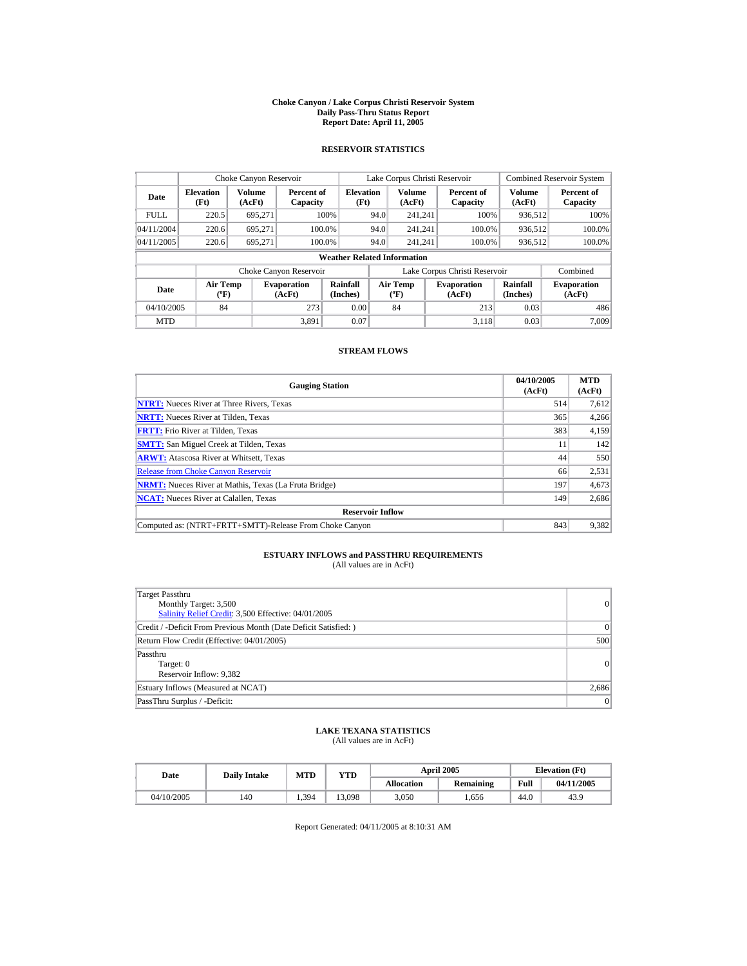#### **Choke Canyon / Lake Corpus Christi Reservoir System Daily Pass-Thru Status Report Report Date: April 11, 2005**

## **RESERVOIR STATISTICS**

|                         | Choke Canyon Reservoir         |                  |                              |                                    |      | Lake Corpus Christi Reservoir         |                               |                      | <b>Combined Reservoir System</b> |
|-------------------------|--------------------------------|------------------|------------------------------|------------------------------------|------|---------------------------------------|-------------------------------|----------------------|----------------------------------|
| Date                    | <b>Elevation</b><br>(Ft)       | Volume<br>(AcFt) | Percent of<br>Capacity       | <b>Elevation</b><br>(Ft)           |      | <b>Volume</b><br>(AcFt)               | Percent of<br>Capacity        | Volume<br>(AcFt)     | Percent of<br>Capacity           |
| <b>FULL</b>             | 220.5                          | 695,271          |                              | 100%                               | 94.0 | 241,241                               | 100%                          | 936,512              | 100%                             |
| 04/11/2004              | 220.6                          | 695.271          | 100.0%                       |                                    | 94.0 | 241.241                               | 100.0%                        | 936.512              | 100.0%                           |
| 04/11/2005              | 220.6                          | 695.271          | 100.0%                       |                                    | 94.0 | 241.241                               | 100.0%                        | 936,512              | 100.0%                           |
|                         |                                |                  |                              | <b>Weather Related Information</b> |      |                                       |                               |                      |                                  |
|                         |                                |                  | Choke Canyon Reservoir       |                                    |      |                                       | Lake Corpus Christi Reservoir |                      | Combined                         |
| <b>Date</b>             | Air Temp<br>$({}^o\mathrm{F})$ |                  | <b>Evaporation</b><br>(AcFt) | Rainfall<br>(Inches)               |      | <b>Air Temp</b><br>$({}^o\mathrm{F})$ | <b>Evaporation</b><br>(AcFt)  | Rainfall<br>(Inches) | <b>Evaporation</b><br>(AcFt)     |
| 273<br>04/10/2005<br>84 |                                |                  | 0.00                         |                                    | 84   | 213                                   | 0.03                          | 486                  |                                  |
| <b>MTD</b>              |                                |                  | 3.891                        | 0.07                               |      |                                       | 3.118                         | 0.03                 | 7,009                            |

#### **STREAM FLOWS**

| <b>Gauging Station</b>                                       | 04/10/2005<br>(AcFt) | <b>MTD</b><br>(AcFt) |
|--------------------------------------------------------------|----------------------|----------------------|
| <b>NTRT:</b> Nueces River at Three Rivers, Texas             | 514                  | 7,612                |
| <b>NRTT:</b> Nueces River at Tilden, Texas                   | 365                  | 4,266                |
| <b>FRTT:</b> Frio River at Tilden, Texas                     | 383                  | 4,159                |
| <b>SMTT:</b> San Miguel Creek at Tilden, Texas               | 11                   | 142                  |
| <b>ARWT:</b> Atascosa River at Whitsett, Texas               | 44                   | 550                  |
| <b>Release from Choke Canyon Reservoir</b>                   | 66                   | 2,531                |
| <b>NRMT:</b> Nueces River at Mathis, Texas (La Fruta Bridge) | 197                  | 4,673                |
| <b>NCAT:</b> Nueces River at Calallen, Texas                 | 149                  | 2,686                |
| <b>Reservoir Inflow</b>                                      |                      |                      |
| Computed as: (NTRT+FRTT+SMTT)-Release From Choke Canvon      | 843                  | 9.382                |

# **ESTUARY INFLOWS and PASSTHRU REQUIREMENTS**<br>(All values are in AcFt)

| Target Passthru<br>Monthly Target: 3,500<br>Salinity Relief Credit: 3,500 Effective: 04/01/2005 | $\overline{0}$ |
|-------------------------------------------------------------------------------------------------|----------------|
| Credit / -Deficit From Previous Month (Date Deficit Satisfied: )                                | $\Omega$       |
| Return Flow Credit (Effective: 04/01/2005)                                                      | 500            |
| Passthru<br>Target: 0<br>Reservoir Inflow: 9,382                                                | 0              |
| Estuary Inflows (Measured at NCAT)                                                              | 2,686          |
| PassThru Surplus / -Deficit:                                                                    | $\overline{0}$ |

# **LAKE TEXANA STATISTICS** (All values are in AcFt)

| Date       | <b>Daily Intake</b> | <b>MTD</b> | YTD    |                   | <b>April 2005</b> |      | <b>Elevation</b> (Ft) |
|------------|---------------------|------------|--------|-------------------|-------------------|------|-----------------------|
|            |                     |            |        | <b>Allocation</b> | <b>Remaining</b>  | Full | 04/11/2005            |
| 04/10/2005 | 140                 | 1.394      | 13.098 | 3.050             | .656              | 44.0 | 43.9                  |

Report Generated: 04/11/2005 at 8:10:31 AM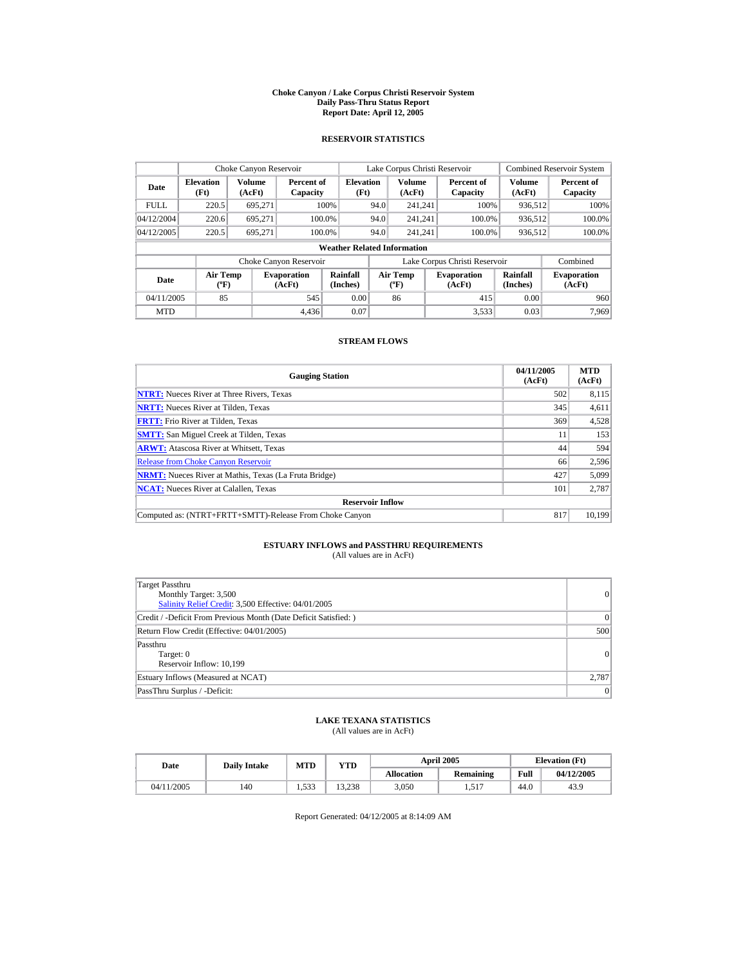#### **Choke Canyon / Lake Corpus Christi Reservoir System Daily Pass-Thru Status Report Report Date: April 12, 2005**

### **RESERVOIR STATISTICS**

| Choke Canyon Reservoir |                             |                  |                              |                                    |      | Lake Corpus Christi Reservoir                    |                               |                         | <b>Combined Reservoir System</b> |
|------------------------|-----------------------------|------------------|------------------------------|------------------------------------|------|--------------------------------------------------|-------------------------------|-------------------------|----------------------------------|
| Date                   | <b>Elevation</b><br>(Ft)    | Volume<br>(AcFt) | Percent of<br>Capacity       | <b>Elevation</b><br>(Ft)           |      | <b>Volume</b><br>(AcFt)                          | Percent of<br>Capacity        | <b>Volume</b><br>(AcFt) | Percent of<br>Capacity           |
| <b>FULL</b>            | 220.5                       | 695.271          |                              | 100%                               | 94.0 | 241.241                                          | 100%                          | 936,512                 | 100%                             |
| 04/12/2004             | 220.6                       | 695.271          | 100.0%                       |                                    | 94.0 | 241.241                                          | 100.0%                        | 936,512                 | 100.0%                           |
| 04/12/2005             | 220.5                       | 695.271          | 100.0%                       |                                    | 94.0 | 241.241                                          | 100.0%                        | 936,512                 | $100.0\%$                        |
|                        |                             |                  |                              | <b>Weather Related Information</b> |      |                                                  |                               |                         |                                  |
|                        |                             |                  | Choke Canyon Reservoir       |                                    |      |                                                  | Lake Corpus Christi Reservoir |                         | Combined                         |
| Date                   | Air Temp<br>$({}^{\circ}F)$ |                  | <b>Evaporation</b><br>(AcFt) | Rainfall<br>(Inches)               |      | <b>Air Temp</b><br>$({}^{\mathrm{o}}\mathrm{F})$ | <b>Evaporation</b><br>(AcFt)  | Rainfall<br>(Inches)    | <b>Evaporation</b><br>(AcFt)     |
| 04/11/2005             | 85                          |                  | 545                          | 0.00                               |      | 86                                               | 415                           | 0.00                    | 960                              |
| <b>MTD</b>             |                             |                  | 4.436                        | 0.07                               |      |                                                  | 3.533                         | 0.03                    | 7.969                            |

### **STREAM FLOWS**

| <b>Gauging Station</b>                                       | 04/11/2005<br>(AcFt) | <b>MTD</b><br>(AcFt) |
|--------------------------------------------------------------|----------------------|----------------------|
| <b>NTRT:</b> Nueces River at Three Rivers, Texas             | 502                  | 8,115                |
| <b>NRTT:</b> Nueces River at Tilden, Texas                   | 345                  | 4,611                |
| <b>FRTT:</b> Frio River at Tilden, Texas                     | 369                  | 4,528                |
| <b>SMTT:</b> San Miguel Creek at Tilden, Texas               | 11                   | 153                  |
| <b>ARWT:</b> Atascosa River at Whitsett, Texas               | 44                   | 594                  |
| <b>Release from Choke Canyon Reservoir</b>                   | 66                   | 2,596                |
| <b>NRMT:</b> Nueces River at Mathis, Texas (La Fruta Bridge) | 427                  | 5,099                |
| <b>NCAT:</b> Nueces River at Calallen, Texas                 | 101                  | 2,787                |
| <b>Reservoir Inflow</b>                                      |                      |                      |
| Computed as: (NTRT+FRTT+SMTT)-Release From Choke Canyon      | 817                  | 10.199               |

# **ESTUARY INFLOWS and PASSTHRU REQUIREMENTS**<br>(All values are in AcFt)

| Target Passthru<br>Monthly Target: 3,500<br>Salinity Relief Credit: 3,500 Effective: 04/01/2005 | 0     |
|-------------------------------------------------------------------------------------------------|-------|
| Credit / -Deficit From Previous Month (Date Deficit Satisfied: )                                | 0     |
| Return Flow Credit (Effective: 04/01/2005)                                                      | 500   |
| Passthru<br>Target: 0<br>Reservoir Inflow: 10,199                                               | 0     |
| Estuary Inflows (Measured at NCAT)                                                              | 2,787 |
| PassThru Surplus / -Deficit:                                                                    | 0     |

## **LAKE TEXANA STATISTICS**

(All values are in AcFt)

| Date       | <b>Daily Intake</b> | <b>MTD</b>  | <b>April 2005</b><br>YTD |                   |                  |      | <b>Elevation</b> (Ft) |
|------------|---------------------|-------------|--------------------------|-------------------|------------------|------|-----------------------|
|            |                     |             |                          | <b>Allocation</b> | <b>Remaining</b> | Full | 04/12/2005            |
| 04/11/2005 | 140                 | 533<br>1.JJ | 13.238                   | 3,050             | 1,517            | 44.0 | 43.9                  |

Report Generated: 04/12/2005 at 8:14:09 AM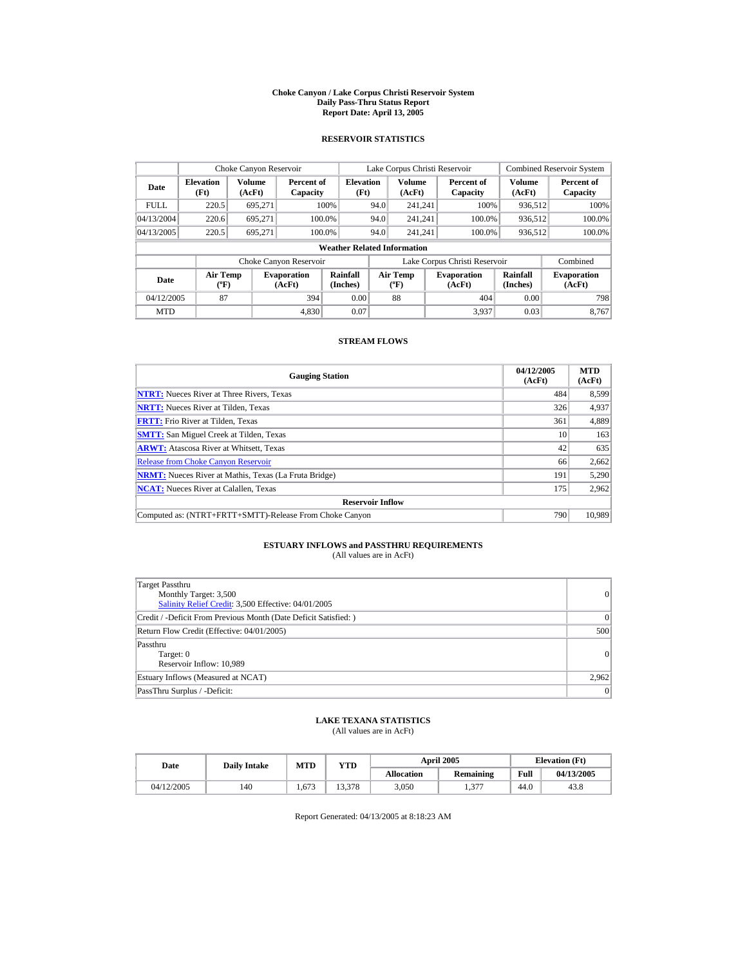#### **Choke Canyon / Lake Corpus Christi Reservoir System Daily Pass-Thru Status Report Report Date: April 13, 2005**

### **RESERVOIR STATISTICS**

|                                  | Choke Canyon Reservoir             |                  |                              |                          |      | Lake Corpus Christi Reservoir                    |  |                               |                      | <b>Combined Reservoir System</b> |
|----------------------------------|------------------------------------|------------------|------------------------------|--------------------------|------|--------------------------------------------------|--|-------------------------------|----------------------|----------------------------------|
| <b>Elevation</b><br>Date<br>(Ft) |                                    | Volume<br>(AcFt) | Percent of<br>Capacity       | <b>Elevation</b><br>(Ft) |      | <b>Volume</b><br>(AcFt)                          |  | Percent of<br>Capacity        | Volume<br>(AcFt)     | Percent of<br>Capacity           |
| <b>FULL</b>                      | 220.5                              | 695,271          |                              | 100%                     | 94.0 | 241.241                                          |  | 100%                          | 936,512              | 100%                             |
| 04/13/2004                       | 220.6                              | 695.271          | 100.0%                       |                          | 94.0 | 241.241                                          |  | 100.0%                        | 936,512              | 100.0%                           |
| 04/13/2005                       | 220.5                              | 695.271          | 100.0%                       |                          | 94.0 | 241.241                                          |  | 100.0%                        | 936,512              | $100.0\%$                        |
|                                  | <b>Weather Related Information</b> |                  |                              |                          |      |                                                  |  |                               |                      |                                  |
|                                  |                                    |                  | Choke Canyon Reservoir       |                          |      |                                                  |  | Lake Corpus Christi Reservoir |                      | Combined                         |
| Date                             | Air Temp<br>$({}^{\circ}F)$        |                  | <b>Evaporation</b><br>(AcFt) | Rainfall<br>(Inches)     |      | <b>Air Temp</b><br>$({}^{\mathrm{o}}\mathrm{F})$ |  | <b>Evaporation</b><br>(AcFt)  | Rainfall<br>(Inches) | <b>Evaporation</b><br>(AcFt)     |
| 04/12/2005                       | 87                                 |                  | 394                          | 0.00                     |      | 88                                               |  | 404                           | 0.00                 | 798                              |
| <b>MTD</b>                       |                                    |                  | 4.830                        | 0.07                     |      |                                                  |  | 3,937                         | 0.03                 | 8.767                            |

### **STREAM FLOWS**

| <b>Gauging Station</b>                                       | 04/12/2005<br>(AcFt) | <b>MTD</b><br>(AcFt) |
|--------------------------------------------------------------|----------------------|----------------------|
| <b>NTRT:</b> Nueces River at Three Rivers, Texas             | 484                  | 8,599                |
| <b>NRTT:</b> Nueces River at Tilden, Texas                   | 326                  | 4,937                |
| <b>FRTT:</b> Frio River at Tilden, Texas                     | 361                  | 4,889                |
| <b>SMTT:</b> San Miguel Creek at Tilden, Texas               | 10                   | 163                  |
| <b>ARWT:</b> Atascosa River at Whitsett, Texas               | 42                   | 635                  |
| <b>Release from Choke Canyon Reservoir</b>                   | 66                   | 2,662                |
| <b>NRMT:</b> Nueces River at Mathis, Texas (La Fruta Bridge) | 191                  | 5,290                |
| <b>NCAT:</b> Nueces River at Calallen, Texas                 | 175                  | 2,962                |
| <b>Reservoir Inflow</b>                                      |                      |                      |
| Computed as: (NTRT+FRTT+SMTT)-Release From Choke Canyon      | 790                  | 10.989               |

# **ESTUARY INFLOWS and PASSTHRU REQUIREMENTS**<br>(All values are in AcFt)

| Target Passthru<br>Monthly Target: 3,500<br>Salinity Relief Credit: 3,500 Effective: 04/01/2005 | 0         |
|-------------------------------------------------------------------------------------------------|-----------|
| Credit / -Deficit From Previous Month (Date Deficit Satisfied: )                                | $\vert$ 0 |
| Return Flow Credit (Effective: 04/01/2005)                                                      | 500       |
| Passthru<br>Target: 0<br>Reservoir Inflow: 10,989                                               | 0         |
| Estuary Inflows (Measured at NCAT)                                                              | 2,962     |
| PassThru Surplus / -Deficit:                                                                    | 0         |

## **LAKE TEXANA STATISTICS**

(All values are in AcFt)

| Date       | <b>Daily Intake</b> | MTD   | <b>YTD</b> |                   | <b>April 2005</b> | <b>Elevation</b> (Ft) |            |
|------------|---------------------|-------|------------|-------------------|-------------------|-----------------------|------------|
|            |                     |       |            | <b>Allocation</b> | <b>Remaining</b>  | Full                  | 04/13/2005 |
| 04/12/2005 | 140                 | 1.673 | 13.378     | 3.050             | 277<br>1.97       | 44.0                  | 43.8       |

Report Generated: 04/13/2005 at 8:18:23 AM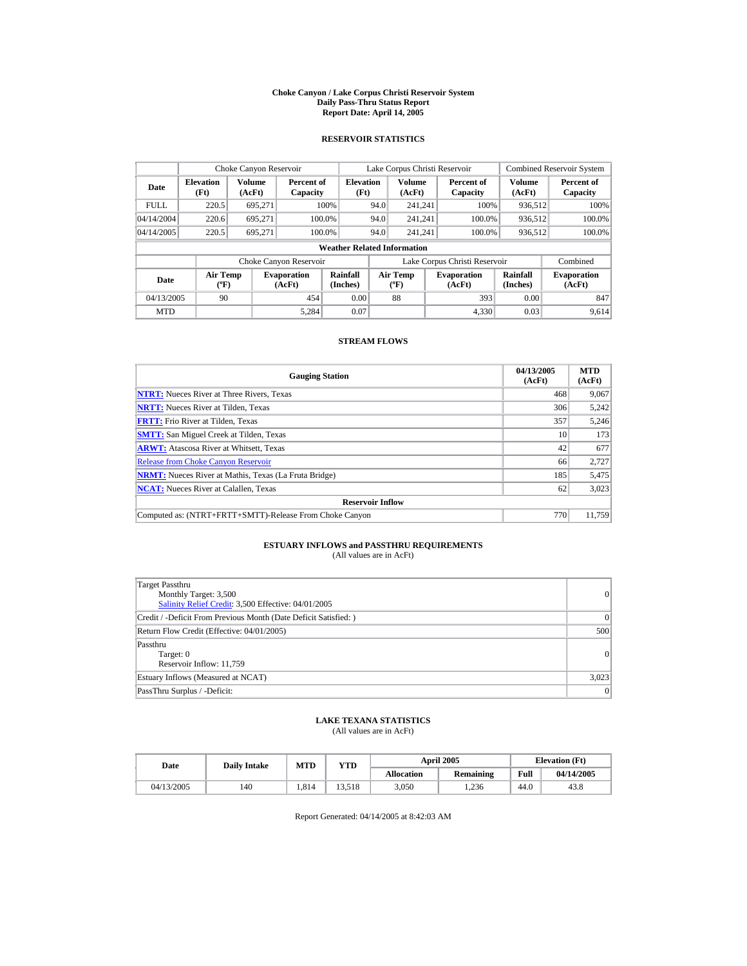#### **Choke Canyon / Lake Corpus Christi Reservoir System Daily Pass-Thru Status Report Report Date: April 14, 2005**

### **RESERVOIR STATISTICS**

| Choke Canyon Reservoir                     |                                      |         |                              |                                        |      | Lake Corpus Christi Reservoir                    |  |                               |                         | <b>Combined Reservoir System</b> |
|--------------------------------------------|--------------------------------------|---------|------------------------------|----------------------------------------|------|--------------------------------------------------|--|-------------------------------|-------------------------|----------------------------------|
| <b>Elevation</b><br>Date<br>(Ft)<br>(AcFt) |                                      | Volume  | Capacity                     | <b>Elevation</b><br>Percent of<br>(Ft) |      | <b>Volume</b><br>(AcFt)                          |  | Percent of<br>Capacity        | <b>Volume</b><br>(AcFt) | Percent of<br>Capacity           |
| <b>FULL</b>                                | 220.5                                | 695.271 |                              | 100%                                   | 94.0 | 241.241                                          |  | 100%                          | 936.512                 | 100%                             |
| 04/14/2004                                 | 220.6                                | 695.271 | 100.0%                       |                                        | 94.0 | 241.241                                          |  | 100.0%                        | 936,512                 | 100.0%                           |
| 04/14/2005                                 | 220.5                                | 695.271 | 100.0%                       |                                        | 94.0 | 241.241                                          |  | 100.0%                        | 936,512                 | $100.0\%$                        |
| <b>Weather Related Information</b>         |                                      |         |                              |                                        |      |                                                  |  |                               |                         |                                  |
|                                            |                                      |         | Choke Canyon Reservoir       |                                        |      |                                                  |  | Lake Corpus Christi Reservoir |                         | Combined                         |
| Date                                       | Air Temp<br>$({}^{\circ}\mathrm{F})$ |         | <b>Evaporation</b><br>(AcFt) | Rainfall<br>(Inches)                   |      | <b>Air Temp</b><br>$({}^{\mathrm{o}}\mathrm{F})$ |  | <b>Evaporation</b><br>(AcFt)  | Rainfall<br>(Inches)    | <b>Evaporation</b><br>(AcFt)     |
| 04/13/2005                                 | 90                                   |         | 454                          | 0.00                                   |      | 88                                               |  | 393                           | 0.00                    | 847                              |
| <b>MTD</b>                                 |                                      |         | 5.284                        | 0.07                                   |      |                                                  |  | 4.330                         | 0.03                    | 9.614                            |

### **STREAM FLOWS**

| <b>Gauging Station</b>                                       | 04/13/2005<br>(AcFt) | <b>MTD</b><br>(AcFt) |
|--------------------------------------------------------------|----------------------|----------------------|
| <b>NTRT:</b> Nueces River at Three Rivers, Texas             | 468                  | 9,067                |
| <b>NRTT:</b> Nueces River at Tilden, Texas                   | 306                  | 5,242                |
| <b>FRTT:</b> Frio River at Tilden, Texas                     | 357                  | 5,246                |
| <b>SMTT:</b> San Miguel Creek at Tilden, Texas               | 10                   | 173                  |
| <b>ARWT:</b> Atascosa River at Whitsett, Texas               | 42                   | 677                  |
| <b>Release from Choke Canyon Reservoir</b>                   | 66                   | 2,727                |
| <b>NRMT:</b> Nueces River at Mathis, Texas (La Fruta Bridge) | 185                  | 5,475                |
| <b>NCAT:</b> Nueces River at Calallen, Texas                 | 62                   | 3,023                |
| <b>Reservoir Inflow</b>                                      |                      |                      |
| Computed as: (NTRT+FRTT+SMTT)-Release From Choke Canyon      | 770                  | 11.759               |

# **ESTUARY INFLOWS and PASSTHRU REQUIREMENTS**<br>(All values are in AcFt)

| Target Passthru<br>Monthly Target: 3,500<br>Salinity Relief Credit: 3,500 Effective: 04/01/2005 | 0     |
|-------------------------------------------------------------------------------------------------|-------|
| Credit / -Deficit From Previous Month (Date Deficit Satisfied: )                                | 0     |
| Return Flow Credit (Effective: 04/01/2005)                                                      | 500   |
| Passthru<br>Target: 0<br>Reservoir Inflow: 11,759                                               | 0     |
| Estuary Inflows (Measured at NCAT)                                                              | 3,023 |
| PassThru Surplus / -Deficit:                                                                    | 0     |

## **LAKE TEXANA STATISTICS**

(All values are in AcFt)

| Date       | <b>Daily Intake</b> | <b>MTD</b> | YTD    |                   | <b>April 2005</b> |      | <b>Elevation</b> (Ft) |
|------------|---------------------|------------|--------|-------------------|-------------------|------|-----------------------|
|            |                     |            |        | <b>Allocation</b> | Remaining         | Full | 04/14/2005            |
| 04/13/2005 | 140                 | 1.814      | 13.518 | 3.050             | .236              | 44.0 | 43.8                  |

Report Generated: 04/14/2005 at 8:42:03 AM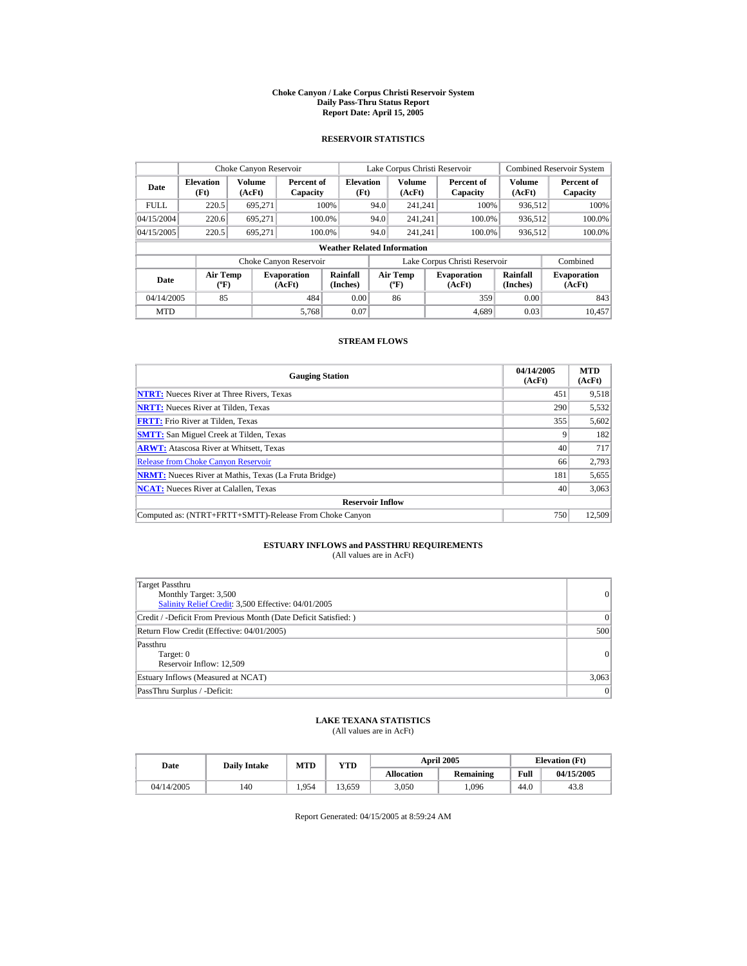#### **Choke Canyon / Lake Corpus Christi Reservoir System Daily Pass-Thru Status Report Report Date: April 15, 2005**

### **RESERVOIR STATISTICS**

|                                  | Choke Canyon Reservoir             |                  |                                                    |                      |                               | Lake Corpus Christi Reservoir                    |  |                              |                      | <b>Combined Reservoir System</b> |
|----------------------------------|------------------------------------|------------------|----------------------------------------------------|----------------------|-------------------------------|--------------------------------------------------|--|------------------------------|----------------------|----------------------------------|
| <b>Elevation</b><br>Date<br>(Ft) |                                    | Volume<br>(AcFt) | <b>Elevation</b><br>Percent of<br>(Ft)<br>Capacity |                      |                               | <b>Volume</b><br>(AcFt)                          |  | Percent of<br>Capacity       | Volume<br>(AcFt)     | Percent of<br>Capacity           |
| <b>FULL</b>                      | 220.5                              | 695,271          |                                                    | 100%                 | 94.0                          | 241.241                                          |  | 100%                         | 936,512              | 100%                             |
| 04/15/2004                       | 220.6                              | 695.271          | 100.0%                                             |                      | 94.0                          | 241.241                                          |  | 100.0%                       | 936,512              | 100.0%                           |
| 04/15/2005                       | 220.5                              | 695.271          | 100.0%                                             |                      | 94.0                          | 241.241                                          |  | 100.0%                       | 936,512              | $100.0\%$                        |
|                                  | <b>Weather Related Information</b> |                  |                                                    |                      |                               |                                                  |  |                              |                      |                                  |
|                                  |                                    |                  | Choke Canyon Reservoir                             |                      | Lake Corpus Christi Reservoir |                                                  |  |                              | Combined             |                                  |
| Date                             | Air Temp<br>$({}^{\circ}F)$        |                  | <b>Evaporation</b><br>(AcFt)                       | Rainfall<br>(Inches) |                               | <b>Air Temp</b><br>$({}^{\mathrm{o}}\mathrm{F})$ |  | <b>Evaporation</b><br>(AcFt) | Rainfall<br>(Inches) | <b>Evaporation</b><br>(AcFt)     |
| 04/14/2005                       | 85                                 |                  | 484                                                | 0.00                 |                               | 86                                               |  | 359                          | 0.00                 | 843                              |
| <b>MTD</b>                       |                                    |                  | 5,768                                              | 0.07                 |                               |                                                  |  | 4.689                        | 0.03                 | 10.457                           |

### **STREAM FLOWS**

| <b>Gauging Station</b>                                       | 04/14/2005<br>(AcFt) | <b>MTD</b><br>(AcFt) |
|--------------------------------------------------------------|----------------------|----------------------|
| <b>NTRT:</b> Nueces River at Three Rivers, Texas             | 451                  | 9,518                |
| <b>NRTT:</b> Nueces River at Tilden, Texas                   | 290                  | 5,532                |
| <b>FRTT:</b> Frio River at Tilden, Texas                     | 355                  | 5,602                |
| <b>SMTT:</b> San Miguel Creek at Tilden, Texas               |                      | 182                  |
| <b>ARWT:</b> Atascosa River at Whitsett, Texas               | 40                   | 717                  |
| <b>Release from Choke Canvon Reservoir</b>                   | 66                   | 2.793                |
| <b>NRMT:</b> Nueces River at Mathis, Texas (La Fruta Bridge) | 181                  | 5,655                |
| <b>NCAT:</b> Nueces River at Calallen, Texas                 | 40                   | 3,063                |
| <b>Reservoir Inflow</b>                                      |                      |                      |
| Computed as: (NTRT+FRTT+SMTT)-Release From Choke Canyon      | 750                  | 12.509               |

# **ESTUARY INFLOWS and PASSTHRU REQUIREMENTS**<br>(All values are in AcFt)

| Target Passthru<br>Monthly Target: 3,500<br>Salinity Relief Credit: 3,500 Effective: 04/01/2005 | 0         |
|-------------------------------------------------------------------------------------------------|-----------|
| Credit / -Deficit From Previous Month (Date Deficit Satisfied: )                                | $\vert$ 0 |
| Return Flow Credit (Effective: 04/01/2005)                                                      | 500       |
| Passthru<br>Target: 0<br>Reservoir Inflow: 12,509                                               | 0         |
| Estuary Inflows (Measured at NCAT)                                                              | 3,063     |
| PassThru Surplus / -Deficit:                                                                    | 0         |

### **LAKE TEXANA STATISTICS**

(All values are in AcFt)

| Date       | <b>Daily Intake</b> | <b>MTD</b><br>YTD |        |                   | <b>April 2005</b> |      | <b>Elevation</b> (Ft) |
|------------|---------------------|-------------------|--------|-------------------|-------------------|------|-----------------------|
|            |                     |                   |        | <b>Allocation</b> | <b>Remaining</b>  | Full | 04/15/2005            |
| 04/14/2005 | 140                 | 1.954             | 13.659 | 3.050             | .096              | 44.0 | 43.8                  |

Report Generated: 04/15/2005 at 8:59:24 AM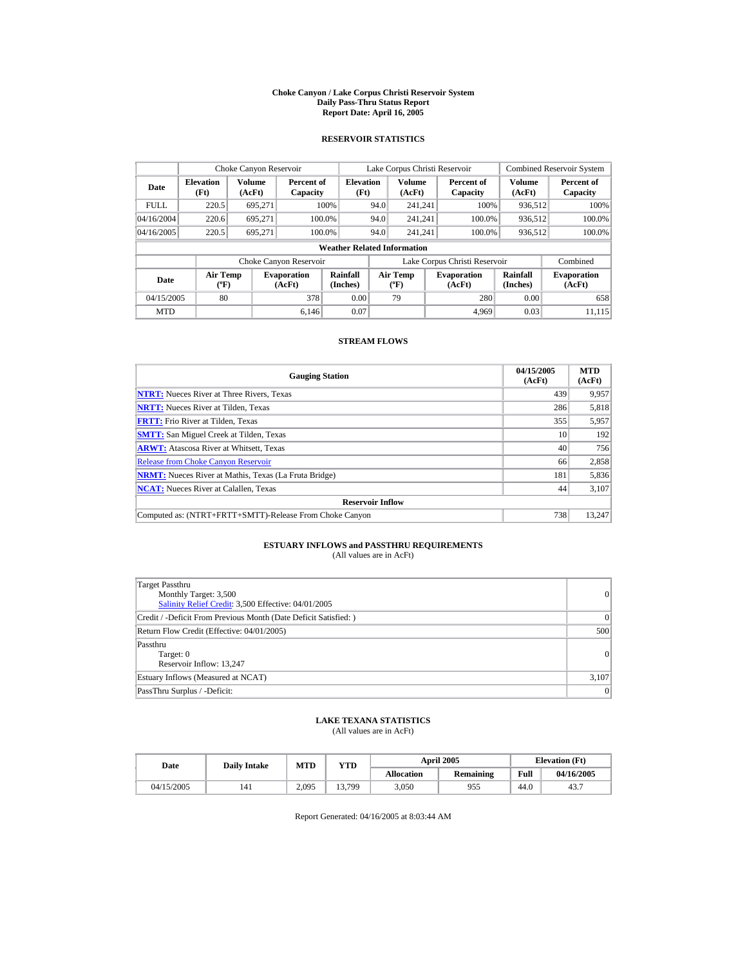#### **Choke Canyon / Lake Corpus Christi Reservoir System Daily Pass-Thru Status Report Report Date: April 16, 2005**

### **RESERVOIR STATISTICS**

|             | Choke Canyon Reservoir                      |                         |                              |                          | Lake Corpus Christi Reservoir |                                   |  |                               |                         | <b>Combined Reservoir System</b> |  |  |
|-------------|---------------------------------------------|-------------------------|------------------------------|--------------------------|-------------------------------|-----------------------------------|--|-------------------------------|-------------------------|----------------------------------|--|--|
| Date        | <b>Elevation</b><br>(Ft)                    | <b>Volume</b><br>(AcFt) | Percent of<br>Capacity       | <b>Elevation</b><br>(Ft) |                               | <b>Volume</b><br>(AcFt)           |  | Percent of<br>Capacity        | <b>Volume</b><br>(AcFt) | Percent of<br>Capacity           |  |  |
| <b>FULL</b> | 220.5                                       | 695.271                 |                              | 100%                     | 94.0                          | 241.241                           |  | 100%                          | 936,512                 | 100%                             |  |  |
| 04/16/2004  | 220.6                                       | 695.271                 | 100.0%                       |                          | 94.0                          | 241.241                           |  | 100.0%                        | 936,512                 | 100.0%                           |  |  |
| 04/16/2005  | 220.5                                       | 695.271                 | 100.0%                       |                          | 94.0                          | 241.241                           |  | 100.0%                        | 936,512                 | 100.0%                           |  |  |
|             | <b>Weather Related Information</b>          |                         |                              |                          |                               |                                   |  |                               |                         |                                  |  |  |
|             |                                             |                         | Choke Canyon Reservoir       |                          |                               |                                   |  | Lake Corpus Christi Reservoir |                         | Combined                         |  |  |
| Date        | <b>Air Temp</b><br>$({}^{\circ}\mathrm{F})$ |                         | <b>Evaporation</b><br>(AcFt) | Rainfall<br>(Inches)     |                               | Air Temp<br>$({}^{\circ}{\rm F})$ |  | <b>Evaporation</b><br>(AcFt)  | Rainfall<br>(Inches)    | <b>Evaporation</b><br>(AcFt)     |  |  |
| 04/15/2005  | 80                                          |                         | 378                          | 0.00                     |                               | 79                                |  | 280                           | 0.00                    | 658                              |  |  |
| <b>MTD</b>  |                                             |                         | 6.146                        | 0.07                     |                               |                                   |  | 4.969                         | 0.03                    | 11.115                           |  |  |

### **STREAM FLOWS**

| <b>Gauging Station</b>                                       | 04/15/2005<br>(AcFt) | <b>MTD</b><br>(AcFt) |
|--------------------------------------------------------------|----------------------|----------------------|
| <b>NTRT:</b> Nueces River at Three Rivers, Texas             | 439                  | 9,957                |
| <b>NRTT:</b> Nueces River at Tilden, Texas                   | 286                  | 5,818                |
| <b>FRTT:</b> Frio River at Tilden, Texas                     | 355                  | 5,957                |
| <b>SMTT:</b> San Miguel Creek at Tilden, Texas               | 10                   | 192                  |
| <b>ARWT:</b> Atascosa River at Whitsett, Texas               | 40                   | 756                  |
| <b>Release from Choke Canyon Reservoir</b>                   | 66                   | 2,858                |
| <b>NRMT:</b> Nueces River at Mathis, Texas (La Fruta Bridge) | 181                  | 5,836                |
| <b>NCAT:</b> Nueces River at Calallen, Texas                 | 44                   | 3.107                |
| <b>Reservoir Inflow</b>                                      |                      |                      |
| Computed as: (NTRT+FRTT+SMTT)-Release From Choke Canyon      | 738                  | 13.247               |

# **ESTUARY INFLOWS and PASSTHRU REQUIREMENTS**<br>(All values are in AcFt)

| Target Passthru<br>Monthly Target: 3,500<br>Salinity Relief Credit: 3,500 Effective: 04/01/2005 | 0         |
|-------------------------------------------------------------------------------------------------|-----------|
| Credit / -Deficit From Previous Month (Date Deficit Satisfied: )                                | $\vert$ 0 |
| Return Flow Credit (Effective: 04/01/2005)                                                      | 500       |
| Passthru<br>Target: 0<br>Reservoir Inflow: 13,247                                               | 0         |
| Estuary Inflows (Measured at NCAT)                                                              | 3,107     |
| PassThru Surplus / -Deficit:                                                                    | 0         |

## **LAKE TEXANA STATISTICS**

(All values are in AcFt)

| Date       | <b>Daily Intake</b> | <b>MTD</b> | YTD    |                   | <b>April 2005</b> | <b>Elevation</b> (Ft) |            |
|------------|---------------------|------------|--------|-------------------|-------------------|-----------------------|------------|
|            |                     |            |        | <b>Allocation</b> | <b>Remaining</b>  | Full                  | 04/16/2005 |
| 04/15/2005 | 141                 | 2,095      | 13,799 | 3.050             | 955               | 44.0                  | 43.7       |

Report Generated: 04/16/2005 at 8:03:44 AM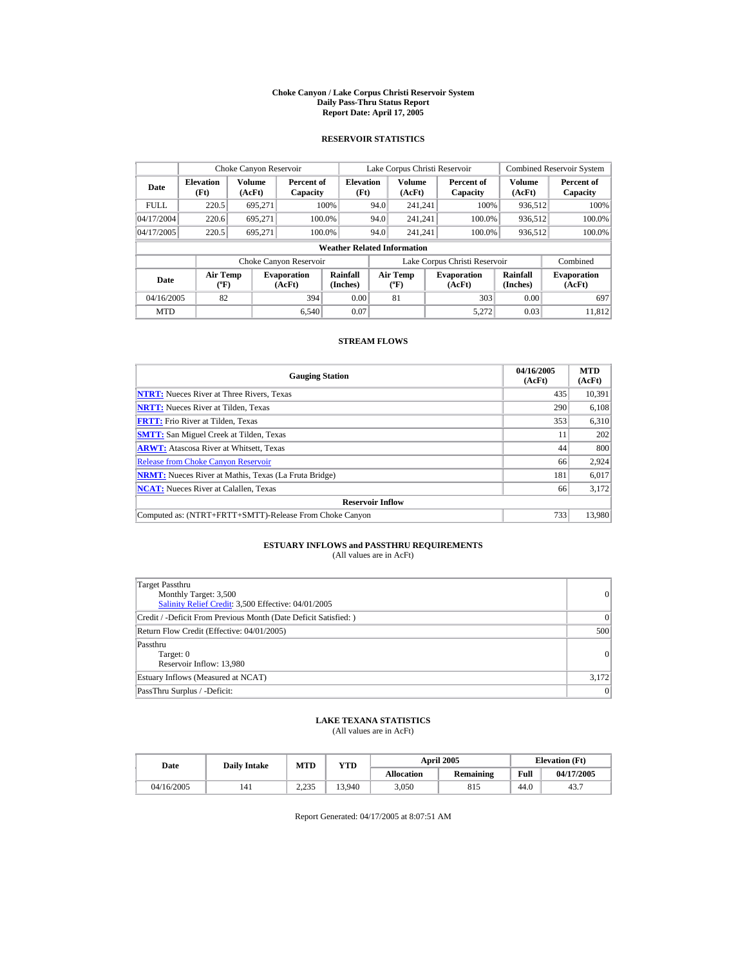#### **Choke Canyon / Lake Corpus Christi Reservoir System Daily Pass-Thru Status Report Report Date: April 17, 2005**

### **RESERVOIR STATISTICS**

|             | Choke Canyon Reservoir             |                  |                              |                          | Lake Corpus Christi Reservoir |                                                  |  |                               |                         | <b>Combined Reservoir System</b> |  |  |
|-------------|------------------------------------|------------------|------------------------------|--------------------------|-------------------------------|--------------------------------------------------|--|-------------------------------|-------------------------|----------------------------------|--|--|
| Date        | <b>Elevation</b><br>(Ft)           | Volume<br>(AcFt) | Percent of<br>Capacity       | <b>Elevation</b><br>(Ft) |                               | <b>Volume</b><br>(AcFt)                          |  | Percent of<br>Capacity        | <b>Volume</b><br>(AcFt) | Percent of<br>Capacity           |  |  |
| <b>FULL</b> | 220.5                              | 695.271          |                              | 100%                     | 94.0                          | 241.241                                          |  | 100%                          | 936.512                 | 100%                             |  |  |
| 04/17/2004  | 220.6                              | 695.271          | 100.0%                       |                          | 94.0                          | 241.241                                          |  | 100.0%                        | 936,512                 | 100.0%                           |  |  |
| 04/17/2005  | 220.5                              | 695.271          | 100.0%                       |                          | 94.0                          | 241.241                                          |  | 100.0%                        | 936,512                 | $100.0\%$                        |  |  |
|             | <b>Weather Related Information</b> |                  |                              |                          |                               |                                                  |  |                               |                         |                                  |  |  |
|             |                                    |                  | Choke Canyon Reservoir       |                          |                               |                                                  |  | Lake Corpus Christi Reservoir |                         | Combined                         |  |  |
| Date        | Air Temp<br>$({}^{\circ}F)$        |                  | <b>Evaporation</b><br>(AcFt) | Rainfall<br>(Inches)     |                               | <b>Air Temp</b><br>$({}^{\mathrm{o}}\mathrm{F})$ |  | <b>Evaporation</b><br>(AcFt)  | Rainfall<br>(Inches)    | <b>Evaporation</b><br>(AcFt)     |  |  |
| 04/16/2005  | 82                                 |                  | 394                          | 0.00                     |                               | 81                                               |  | 303                           | 0.00                    | 697                              |  |  |
| <b>MTD</b>  |                                    |                  | 6.540                        | 0.07                     |                               |                                                  |  | 5.272                         | 0.03                    | 11.812                           |  |  |

### **STREAM FLOWS**

| <b>Gauging Station</b>                                       | 04/16/2005<br>(AcFt) | <b>MTD</b><br>(AcFt) |
|--------------------------------------------------------------|----------------------|----------------------|
| <b>NTRT:</b> Nueces River at Three Rivers, Texas             | 435                  | 10,391               |
| <b>NRTT:</b> Nueces River at Tilden, Texas                   | 290                  | 6.108                |
| <b>FRTT:</b> Frio River at Tilden, Texas                     | 353                  | 6,310                |
| <b>SMTT:</b> San Miguel Creek at Tilden, Texas               | 11                   | 202                  |
| <b>ARWT:</b> Atascosa River at Whitsett, Texas               | 44                   | 800                  |
| <b>Release from Choke Canvon Reservoir</b>                   | 66                   | 2.924                |
| <b>NRMT:</b> Nueces River at Mathis, Texas (La Fruta Bridge) | 181                  | 6,017                |
| <b>NCAT:</b> Nueces River at Calallen, Texas                 | 66                   | 3,172                |
| <b>Reservoir Inflow</b>                                      |                      |                      |
| Computed as: (NTRT+FRTT+SMTT)-Release From Choke Canyon      | 733                  | 13,980               |

# **ESTUARY INFLOWS and PASSTHRU REQUIREMENTS**<br>(All values are in AcFt)

| Target Passthru<br>Monthly Target: 3,500<br>Salinity Relief Credit: 3,500 Effective: 04/01/2005 | 0               |
|-------------------------------------------------------------------------------------------------|-----------------|
| Credit / -Deficit From Previous Month (Date Deficit Satisfied: )                                | $\vert 0 \vert$ |
| Return Flow Credit (Effective: 04/01/2005)                                                      | 500             |
| Passthru<br>Target: 0<br>Reservoir Inflow: 13,980                                               | 0               |
| Estuary Inflows (Measured at NCAT)                                                              | 3,172           |
| PassThru Surplus / -Deficit:                                                                    | 0               |

### **LAKE TEXANA STATISTICS**

(All values are in AcFt)

| Date       | <b>Daily Intake</b> | MTD            | YTD    |                   | <b>April 2005</b> | <b>Elevation</b> (Ft) |            |
|------------|---------------------|----------------|--------|-------------------|-------------------|-----------------------|------------|
|            |                     |                |        | <b>Allocation</b> | <b>Remaining</b>  | Full                  | 04/17/2005 |
| 04/16/2005 | 141                 | 225<br>ت کے وک | 13.940 | 3.050             | 815               | 44.0                  | 43.7       |

Report Generated: 04/17/2005 at 8:07:51 AM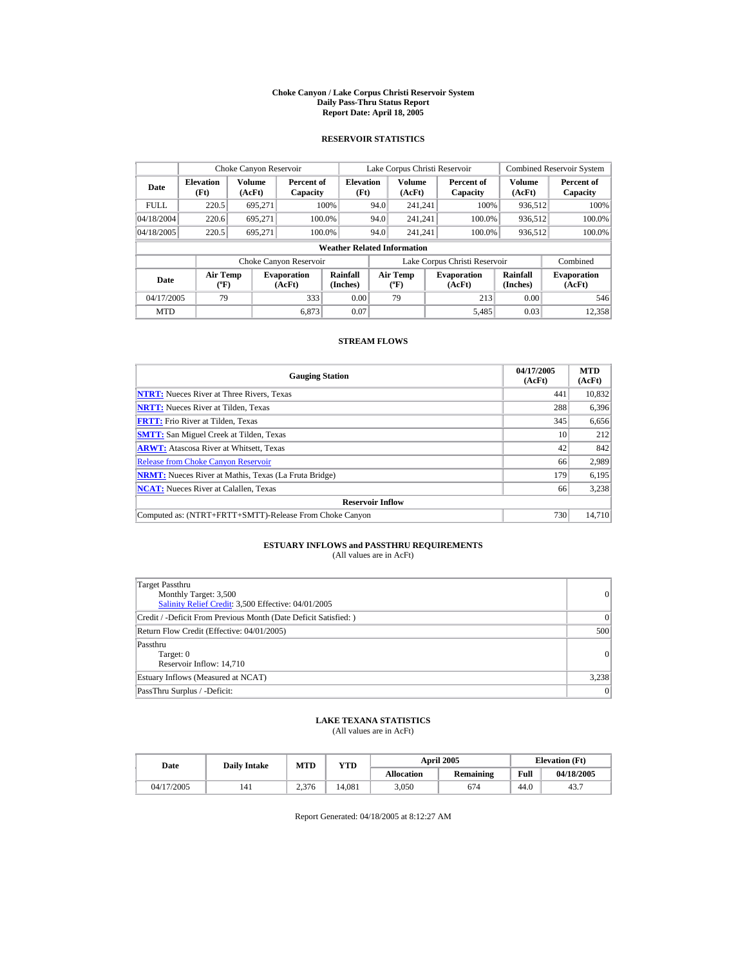#### **Choke Canyon / Lake Corpus Christi Reservoir System Daily Pass-Thru Status Report Report Date: April 18, 2005**

### **RESERVOIR STATISTICS**

|             | Choke Canyon Reservoir               |                  |                              |                          | Lake Corpus Christi Reservoir |                                                  |  |                               |                      | <b>Combined Reservoir System</b> |  |  |
|-------------|--------------------------------------|------------------|------------------------------|--------------------------|-------------------------------|--------------------------------------------------|--|-------------------------------|----------------------|----------------------------------|--|--|
| Date        | <b>Elevation</b><br>(Ft)             | Volume<br>(AcFt) | Percent of<br>Capacity       | <b>Elevation</b><br>(Ft) |                               | <b>Volume</b><br>(AcFt)                          |  | Percent of<br>Capacity        | Volume<br>(AcFt)     | Percent of<br>Capacity           |  |  |
| <b>FULL</b> | 220.5                                | 695,271          |                              | 100%                     | 94.0                          | 241.241                                          |  | 100%                          | 936,512              | 100%                             |  |  |
| 04/18/2004  | 220.6                                | 695.271          | 100.0%                       |                          | 94.0                          | 241.241                                          |  | 100.0%                        | 936,512              | 100.0%                           |  |  |
| 04/18/2005  | 220.5                                | 695.271          | 100.0%                       |                          | 94.0                          | 241.241                                          |  | 100.0%                        | 936,512              | $100.0\%$                        |  |  |
|             | <b>Weather Related Information</b>   |                  |                              |                          |                               |                                                  |  |                               |                      |                                  |  |  |
|             |                                      |                  | Choke Canyon Reservoir       |                          |                               |                                                  |  | Lake Corpus Christi Reservoir |                      | Combined                         |  |  |
| Date        | Air Temp<br>$({}^{\circ}\mathrm{F})$ |                  | <b>Evaporation</b><br>(AcFt) | Rainfall<br>(Inches)     |                               | <b>Air Temp</b><br>$({}^{\mathrm{o}}\mathrm{F})$ |  | <b>Evaporation</b><br>(AcFt)  | Rainfall<br>(Inches) | <b>Evaporation</b><br>(AcFt)     |  |  |
| 04/17/2005  | 79                                   |                  | 333                          | 0.00                     |                               | 79                                               |  | 213                           | 0.00                 | 546                              |  |  |
| <b>MTD</b>  |                                      |                  | 6.873                        | 0.07                     |                               |                                                  |  | 5,485                         | 0.03                 | 12,358                           |  |  |

### **STREAM FLOWS**

| <b>Gauging Station</b>                                       | 04/17/2005<br>(AcFt) | <b>MTD</b><br>(AcFt) |
|--------------------------------------------------------------|----------------------|----------------------|
| <b>NTRT:</b> Nueces River at Three Rivers, Texas             | 441                  | 10,832               |
| <b>NRTT:</b> Nueces River at Tilden, Texas                   | 288                  | 6,396                |
| <b>FRTT:</b> Frio River at Tilden, Texas                     | 345                  | 6,656                |
| <b>SMTT:</b> San Miguel Creek at Tilden, Texas               | 10                   | 212                  |
| <b>ARWT:</b> Atascosa River at Whitsett, Texas               | 42                   | 842                  |
| <b>Release from Choke Canvon Reservoir</b>                   | 66                   | 2,989                |
| <b>NRMT:</b> Nueces River at Mathis, Texas (La Fruta Bridge) | 179                  | 6,195                |
| <b>NCAT:</b> Nueces River at Calallen, Texas                 | 66                   | 3,238                |
| <b>Reservoir Inflow</b>                                      |                      |                      |
| Computed as: (NTRT+FRTT+SMTT)-Release From Choke Canyon      | 730                  | 14.710               |

# **ESTUARY INFLOWS and PASSTHRU REQUIREMENTS**<br>(All values are in AcFt)

| <b>Target Passthru</b><br>Monthly Target: 3,500<br>Salinity Relief Credit: 3,500 Effective: 04/01/2005 | 0     |
|--------------------------------------------------------------------------------------------------------|-------|
| Credit / -Deficit From Previous Month (Date Deficit Satisfied: )                                       | 0     |
| Return Flow Credit (Effective: 04/01/2005)                                                             | 500   |
| Passthru<br>Target: 0<br>Reservoir Inflow: 14,710                                                      | 0     |
| Estuary Inflows (Measured at NCAT)                                                                     | 3,238 |
| PassThru Surplus / -Deficit:                                                                           | 0     |

### **LAKE TEXANA STATISTICS**

(All values are in AcFt)

| Date       |     | MTD<br><b>Daily Intake</b> |        |                   | <b>April 2005</b> | <b>Elevation</b> (Ft) |            |  |
|------------|-----|----------------------------|--------|-------------------|-------------------|-----------------------|------------|--|
|            |     |                            | YTD    | <b>Allocation</b> | <b>Remaining</b>  | Full                  | 04/18/2005 |  |
| 04/17/2005 | 141 | 2.376                      | 14.081 | 3.050             | 674               | 44.0                  | 43.7       |  |

Report Generated: 04/18/2005 at 8:12:27 AM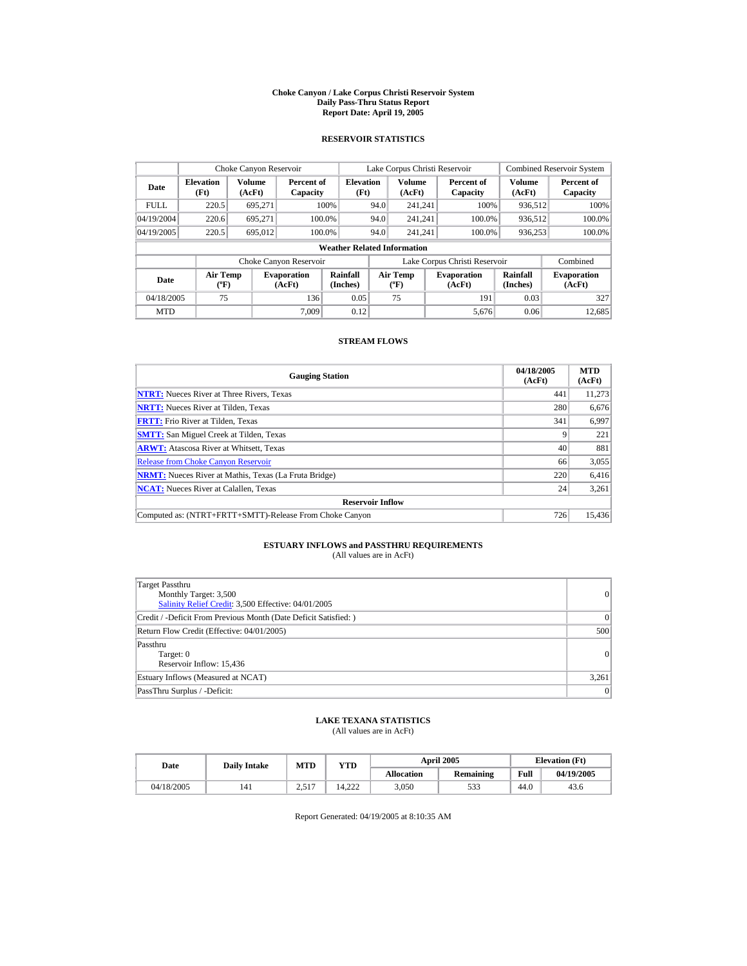#### **Choke Canyon / Lake Corpus Christi Reservoir System Daily Pass-Thru Status Report Report Date: April 19, 2005**

### **RESERVOIR STATISTICS**

| Choke Canyon Reservoir |                                             |                  |                              |                             |      | Lake Corpus Christi Reservoir            |  |                                                      |                  | <b>Combined Reservoir System</b> |  |  |  |
|------------------------|---------------------------------------------|------------------|------------------------------|-----------------------------|------|------------------------------------------|--|------------------------------------------------------|------------------|----------------------------------|--|--|--|
| Date                   | <b>Elevation</b><br>(Ft)                    | Volume<br>(AcFt) | Percent of<br>Capacity       | <b>Elevation</b><br>(Ft)    |      | <b>Volume</b><br>(AcFt)                  |  | Percent of<br>Capacity                               | Volume<br>(AcFt) | Percent of<br>Capacity           |  |  |  |
| <b>FULL</b>            | 220.5                                       | 695.271          |                              | 100%                        | 94.0 | 241.241                                  |  | 100%                                                 | 936.512          | 100%                             |  |  |  |
| 04/19/2004             | 220.6                                       | 695.271          |                              | 100.0%                      | 94.0 | 241.241                                  |  | 100.0%                                               | 936,512          | 100.0%                           |  |  |  |
| 04/19/2005             | 220.5                                       | 695,012          |                              | 100.0%                      | 94.0 | 241.241                                  |  | 100.0%                                               | 936,253          | 100.0%                           |  |  |  |
|                        | <b>Weather Related Information</b>          |                  |                              |                             |      |                                          |  |                                                      |                  |                                  |  |  |  |
|                        |                                             |                  | Choke Canyon Reservoir       |                             |      |                                          |  | Lake Corpus Christi Reservoir                        |                  | Combined                         |  |  |  |
| Date                   | <b>Air Temp</b><br>$({}^{\circ}\mathrm{F})$ |                  | <b>Evaporation</b><br>(AcFt) | <b>Rainfall</b><br>(Inches) |      | <b>Air Temp</b><br>$({}^{\circ}{\rm F})$ |  | Rainfall<br><b>Evaporation</b><br>(Inches)<br>(AcFt) |                  | <b>Evaporation</b><br>(AcFt)     |  |  |  |
| 04/18/2005             | 75                                          |                  | 136                          | 0.05                        |      | 75                                       |  | 191                                                  | 0.03             | 327                              |  |  |  |
| <b>MTD</b>             |                                             |                  | 7.009                        | 0.12                        |      |                                          |  | 5.676                                                | 0.06             | 12.685                           |  |  |  |

### **STREAM FLOWS**

| <b>Gauging Station</b>                                       | 04/18/2005<br>(AcFt) | <b>MTD</b><br>(AcFt) |
|--------------------------------------------------------------|----------------------|----------------------|
| <b>NTRT:</b> Nueces River at Three Rivers, Texas             | 441                  | 11,273               |
| <b>NRTT:</b> Nueces River at Tilden, Texas                   | 280                  | 6,676                |
| <b>FRTT:</b> Frio River at Tilden, Texas                     | 341                  | 6,997                |
| <b>SMTT:</b> San Miguel Creek at Tilden, Texas               |                      | 221                  |
| <b>ARWT:</b> Atascosa River at Whitsett, Texas               | 40                   | 881                  |
| <b>Release from Choke Canvon Reservoir</b>                   | 66                   | 3,055                |
| <b>NRMT:</b> Nueces River at Mathis, Texas (La Fruta Bridge) | 220                  | 6,416                |
| <b>NCAT:</b> Nueces River at Calallen, Texas                 | 24                   | 3,261                |
| <b>Reservoir Inflow</b>                                      |                      |                      |
| Computed as: (NTRT+FRTT+SMTT)-Release From Choke Canyon      | 726                  | 15.436               |

# **ESTUARY INFLOWS and PASSTHRU REQUIREMENTS**<br>(All values are in AcFt)

| Target Passthru<br>Monthly Target: 3,500<br>Salinity Relief Credit: 3,500 Effective: 04/01/2005 | 0     |
|-------------------------------------------------------------------------------------------------|-------|
| Credit / -Deficit From Previous Month (Date Deficit Satisfied: )                                | 0     |
| Return Flow Credit (Effective: 04/01/2005)                                                      | 500   |
| Passthru<br>Target: 0<br>Reservoir Inflow: 15,436                                               | 0     |
| Estuary Inflows (Measured at NCAT)                                                              | 3,261 |
| PassThru Surplus / -Deficit:                                                                    | 0     |

## **LAKE TEXANA STATISTICS**

(All values are in AcFt)

| Date       | <b>Daily Intake</b> | <b>MTD</b>      | YTD    |                   | <b>April 2005</b> | <b>Elevation</b> (Ft) |            |
|------------|---------------------|-----------------|--------|-------------------|-------------------|-----------------------|------------|
|            |                     |                 |        | <b>Allocation</b> | <b>Remaining</b>  | Full                  | 04/19/2005 |
| 04/18/2005 | 141                 | 2.517<br>⊥ ب∠ ک | 14.222 | 3,050             | 533               | 44.0                  | 43.6       |

Report Generated: 04/19/2005 at 8:10:35 AM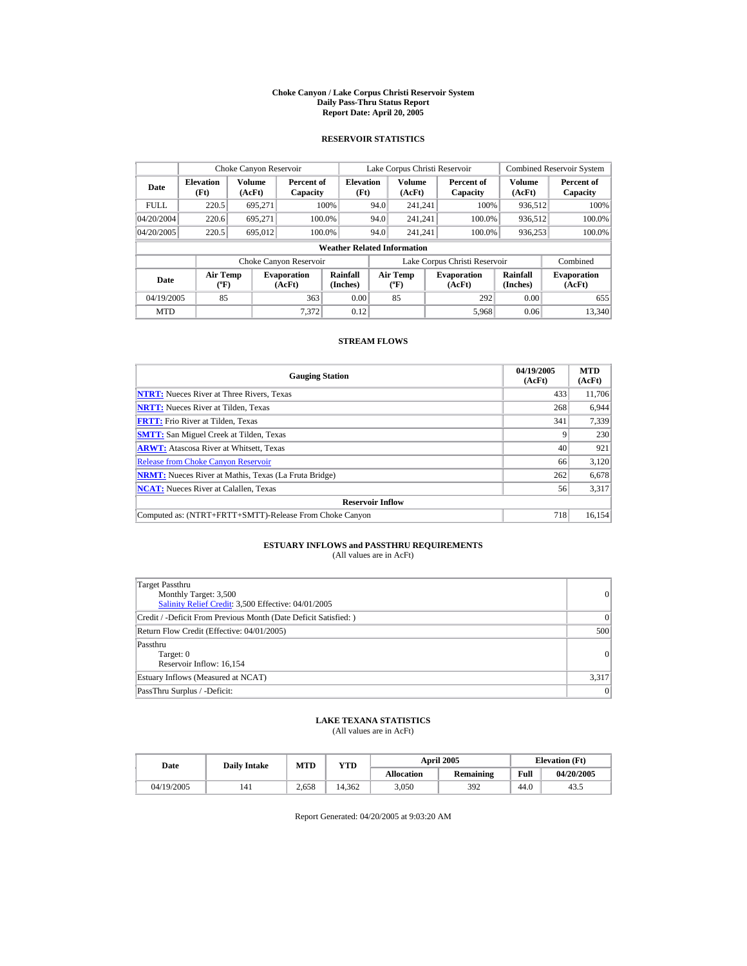#### **Choke Canyon / Lake Corpus Christi Reservoir System Daily Pass-Thru Status Report Report Date: April 20, 2005**

### **RESERVOIR STATISTICS**

|             | Choke Canyon Reservoir                |                         |                              |                          |      | Lake Corpus Christi Reservoir     |  |                                                      |                         | <b>Combined Reservoir System</b> |  |  |
|-------------|---------------------------------------|-------------------------|------------------------------|--------------------------|------|-----------------------------------|--|------------------------------------------------------|-------------------------|----------------------------------|--|--|
| Date        | <b>Elevation</b><br>(Ft)              | <b>Volume</b><br>(AcFt) | Percent of<br>Capacity       | <b>Elevation</b><br>(Ft) |      | <b>Volume</b><br>(AcFt)           |  | Percent of<br>Capacity                               | <b>Volume</b><br>(AcFt) | Percent of<br>Capacity           |  |  |
| <b>FULL</b> | 220.5                                 | 695.271                 |                              | 100%                     | 94.0 | 241.241                           |  | 100%                                                 | 936,512                 | 100%                             |  |  |
| 04/20/2004  | 220.6                                 | 695.271                 | 100.0%                       |                          | 94.0 | 241.241                           |  | 100.0%                                               | 936,512                 | 100.0%                           |  |  |
| 04/20/2005  | 220.5                                 | 695,012                 | 100.0%                       |                          | 94.0 | 241.241                           |  | 100.0%                                               | 936,253                 | 100.0%                           |  |  |
|             | <b>Weather Related Information</b>    |                         |                              |                          |      |                                   |  |                                                      |                         |                                  |  |  |
|             |                                       |                         | Choke Canyon Reservoir       |                          |      |                                   |  | Lake Corpus Christi Reservoir                        |                         | Combined                         |  |  |
| Date        | <b>Air Temp</b><br>$({}^o\mathrm{F})$ |                         | <b>Evaporation</b><br>(AcFt) | Rainfall<br>(Inches)     |      | Air Temp<br>$({}^{\circ}{\rm F})$ |  | Rainfall<br><b>Evaporation</b><br>(Inches)<br>(AcFt) |                         | <b>Evaporation</b><br>(AcFt)     |  |  |
| 04/19/2005  | 85                                    |                         | 363                          | 0.00                     |      | 85                                |  | 292                                                  | 0.00                    | 655                              |  |  |
| <b>MTD</b>  |                                       |                         | 7.372                        | 0.12                     |      |                                   |  | 5,968                                                | 0.06                    | 13,340                           |  |  |

### **STREAM FLOWS**

| <b>Gauging Station</b>                                       | 04/19/2005<br>(AcFt) | <b>MTD</b><br>(AcFt) |
|--------------------------------------------------------------|----------------------|----------------------|
| <b>NTRT:</b> Nueces River at Three Rivers, Texas             | 433                  | 11.706               |
| <b>NRTT:</b> Nueces River at Tilden, Texas                   | 268                  | 6,944                |
| <b>FRTT:</b> Frio River at Tilden, Texas                     | 341                  | 7,339                |
| <b>SMTT:</b> San Miguel Creek at Tilden, Texas               |                      | 230                  |
| <b>ARWT:</b> Atascosa River at Whitsett, Texas               | 40                   | 921                  |
| <b>Release from Choke Canyon Reservoir</b>                   | 66                   | 3,120                |
| <b>NRMT:</b> Nueces River at Mathis, Texas (La Fruta Bridge) | 262                  | 6,678                |
| <b>NCAT:</b> Nueces River at Calallen, Texas                 | 56                   | 3,317                |
| <b>Reservoir Inflow</b>                                      |                      |                      |
| Computed as: (NTRT+FRTT+SMTT)-Release From Choke Canyon      | 718                  | 16.154               |

# **ESTUARY INFLOWS and PASSTHRU REQUIREMENTS**<br>(All values are in AcFt)

| Target Passthru<br>Monthly Target: 3,500<br>Salinity Relief Credit: 3,500 Effective: 04/01/2005 | 0               |
|-------------------------------------------------------------------------------------------------|-----------------|
| Credit / -Deficit From Previous Month (Date Deficit Satisfied: )                                | $\vert 0 \vert$ |
| Return Flow Credit (Effective: 04/01/2005)                                                      | 500             |
| Passthru<br>Target: 0<br>Reservoir Inflow: 16,154                                               | 0               |
| Estuary Inflows (Measured at NCAT)                                                              | 3,317           |
| PassThru Surplus / -Deficit:                                                                    | 0               |

### **LAKE TEXANA STATISTICS**

(All values are in AcFt)

| Date       | <b>Daily Intake</b> | <b>MTD</b> | YTD    |                   | <b>April 2005</b> |      | <b>Elevation</b> (Ft) |
|------------|---------------------|------------|--------|-------------------|-------------------|------|-----------------------|
|            |                     |            |        | <b>Allocation</b> | Remaining         | Full | 04/20/2005            |
| 04/19/2005 | 141                 | 2.658      | 14.362 | 3.050             | 392               | 44.0 | 43.5                  |

Report Generated: 04/20/2005 at 9:03:20 AM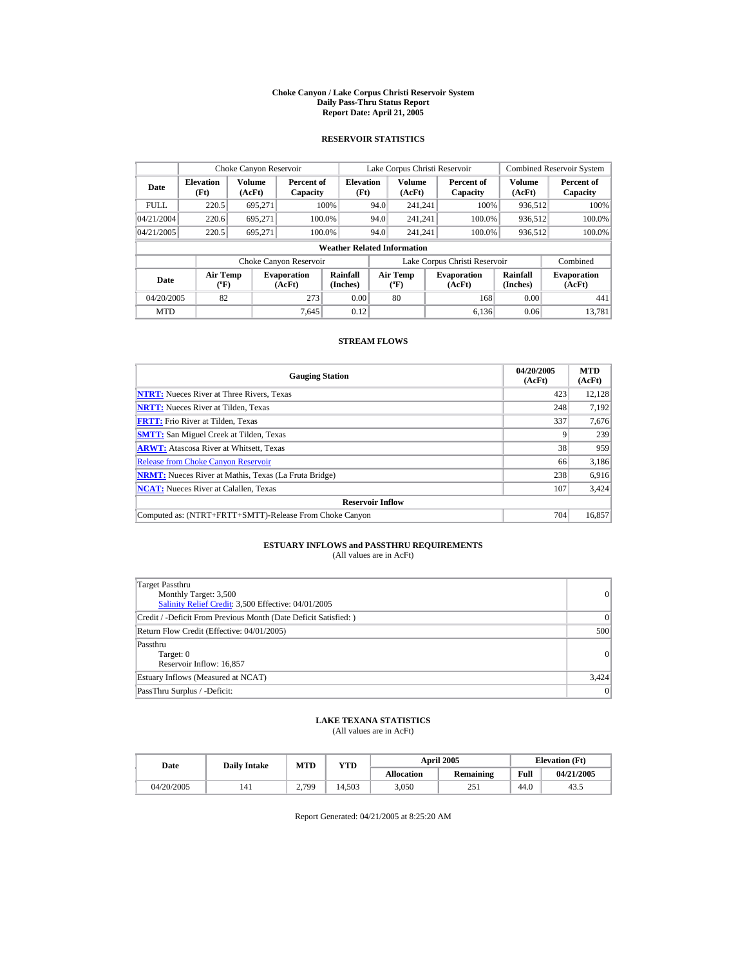#### **Choke Canyon / Lake Corpus Christi Reservoir System Daily Pass-Thru Status Report Report Date: April 21, 2005**

### **RESERVOIR STATISTICS**

|             | Choke Canyon Reservoir             |                  |                              |                                                                                                                                  |      | Lake Corpus Christi Reservoir |  |                               |                         | <b>Combined Reservoir System</b> |  |  |  |
|-------------|------------------------------------|------------------|------------------------------|----------------------------------------------------------------------------------------------------------------------------------|------|-------------------------------|--|-------------------------------|-------------------------|----------------------------------|--|--|--|
| Date        | <b>Elevation</b><br>(Ft)           | Volume<br>(AcFt) | Percent of<br>Capacity       | <b>Elevation</b><br>(Ft)                                                                                                         |      | <b>Volume</b><br>(AcFt)       |  | Percent of<br>Capacity        | <b>Volume</b><br>(AcFt) | Percent of<br>Capacity           |  |  |  |
| <b>FULL</b> | 220.5                              | 695.271          |                              | 100%                                                                                                                             | 94.0 | 241.241                       |  | 100%                          | 936.512                 | 100%                             |  |  |  |
| 04/21/2004  | 220.6                              | 695.271          | 100.0%                       |                                                                                                                                  | 94.0 | 241.241                       |  | 100.0%                        | 936,512                 | 100.0%                           |  |  |  |
| 04/21/2005  | 220.5                              | 695.271          | 100.0%                       |                                                                                                                                  | 94.0 | 241.241                       |  | 100.0%                        | 936,512                 | $100.0\%$                        |  |  |  |
|             | <b>Weather Related Information</b> |                  |                              |                                                                                                                                  |      |                               |  |                               |                         |                                  |  |  |  |
|             |                                    |                  | Choke Canyon Reservoir       |                                                                                                                                  |      |                               |  | Lake Corpus Christi Reservoir |                         | Combined                         |  |  |  |
| Date        | Air Temp<br>$({}^{\circ}F)$        |                  | <b>Evaporation</b><br>(AcFt) | Rainfall<br>Rainfall<br><b>Air Temp</b><br><b>Evaporation</b><br>(Inches)<br>(Inches)<br>$({}^{\mathrm{o}}\mathrm{F})$<br>(AcFt) |      | <b>Evaporation</b><br>(AcFt)  |  |                               |                         |                                  |  |  |  |
| 04/20/2005  | 82                                 |                  | 273                          | 0.00                                                                                                                             |      | 80                            |  | 168                           | 0.00                    | 441                              |  |  |  |
| <b>MTD</b>  |                                    |                  | 7.645                        | 0.12                                                                                                                             |      |                               |  | 6.136                         | 0.06                    | 13.781                           |  |  |  |

### **STREAM FLOWS**

| <b>Gauging Station</b>                                       | 04/20/2005<br>(AcFt) | <b>MTD</b><br>(AcFt) |
|--------------------------------------------------------------|----------------------|----------------------|
| <b>NTRT:</b> Nueces River at Three Rivers, Texas             | 423                  | 12.128               |
| <b>NRTT:</b> Nueces River at Tilden, Texas                   | 248                  | 7.192                |
| <b>FRTT:</b> Frio River at Tilden, Texas                     | 337                  | 7,676                |
| <b>SMTT:</b> San Miguel Creek at Tilden, Texas               |                      | 239                  |
| <b>ARWT:</b> Atascosa River at Whitsett, Texas               | 38                   | 959                  |
| <b>Release from Choke Canvon Reservoir</b>                   | 66                   | 3,186                |
| <b>NRMT:</b> Nueces River at Mathis, Texas (La Fruta Bridge) | 238                  | 6,916                |
| <b>NCAT:</b> Nueces River at Calallen, Texas                 | 107                  | 3,424                |
| <b>Reservoir Inflow</b>                                      |                      |                      |
| Computed as: (NTRT+FRTT+SMTT)-Release From Choke Canyon      | 704                  | 16.857               |

# **ESTUARY INFLOWS and PASSTHRU REQUIREMENTS**<br>(All values are in AcFt)

| <b>Target Passthru</b><br>Monthly Target: 3,500<br>Salinity Relief Credit: 3,500 Effective: 04/01/2005 | 0     |
|--------------------------------------------------------------------------------------------------------|-------|
| Credit / -Deficit From Previous Month (Date Deficit Satisfied: )                                       | 0     |
| Return Flow Credit (Effective: 04/01/2005)                                                             | 500   |
| Passthru<br>Target: 0<br>Reservoir Inflow: 16,857                                                      | 0     |
| Estuary Inflows (Measured at NCAT)                                                                     | 3,424 |
| PassThru Surplus / -Deficit:                                                                           | 0     |

### **LAKE TEXANA STATISTICS**

(All values are in AcFt)

| Date       | <b>Daily Intake</b> | <b>MTD</b> | YTD    |                   | <b>April 2005</b> |      | <b>Elevation</b> (Ft) |
|------------|---------------------|------------|--------|-------------------|-------------------|------|-----------------------|
|            |                     |            |        | <b>Allocation</b> | Remaining         | Full | 04/21/2005            |
| 04/20/2005 | 141                 | 2.799      | 14.503 | 3.050             | 251               | 44.0 | 43.                   |

Report Generated: 04/21/2005 at 8:25:20 AM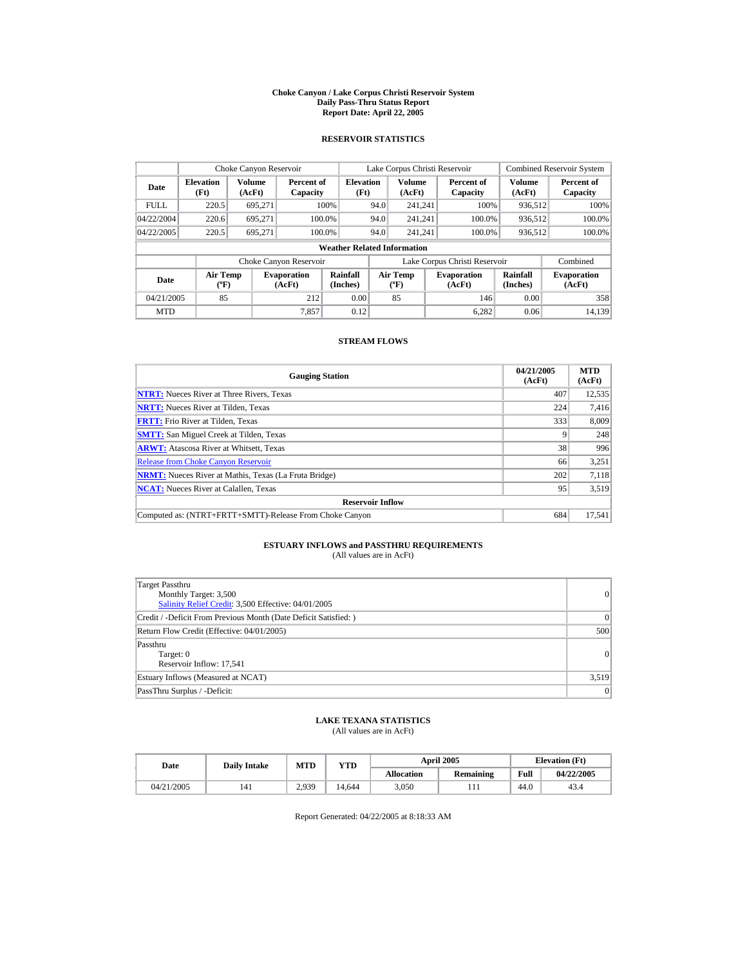#### **Choke Canyon / Lake Corpus Christi Reservoir System Daily Pass-Thru Status Report Report Date: April 22, 2005**

### **RESERVOIR STATISTICS**

| Choke Canyon Reservoir |                                             |                  |                              |                          |      | Lake Corpus Christi Reservoir            |  |                               |                      | <b>Combined Reservoir System</b> |  |  |  |
|------------------------|---------------------------------------------|------------------|------------------------------|--------------------------|------|------------------------------------------|--|-------------------------------|----------------------|----------------------------------|--|--|--|
| Date                   | <b>Elevation</b><br>(Ft)                    | Volume<br>(AcFt) | Percent of<br>Capacity       | <b>Elevation</b><br>(Ft) |      | <b>Volume</b><br>(AcFt)                  |  | Percent of<br>Capacity        | Volume<br>(AcFt)     | Percent of<br>Capacity           |  |  |  |
| <b>FULL</b>            | 220.5                                       | 695.271          |                              | 100%                     | 94.0 | 241.241                                  |  | 100%                          | 936,512              | 100%                             |  |  |  |
| 04/22/2004             | 220.6                                       | 695.271          |                              | 100.0%                   | 94.0 | 241.241                                  |  | 100.0%                        | 936,512              | 100.0%                           |  |  |  |
| 04/22/2005             | 220.5                                       | 695.271          |                              | 100.0%                   | 94.0 | 241.241                                  |  | 100.0%                        | 936,512              | 100.0%                           |  |  |  |
|                        | <b>Weather Related Information</b>          |                  |                              |                          |      |                                          |  |                               |                      |                                  |  |  |  |
|                        |                                             |                  | Choke Canyon Reservoir       |                          |      |                                          |  | Lake Corpus Christi Reservoir |                      | Combined                         |  |  |  |
| Date                   | <b>Air Temp</b><br>$({}^{\circ}\mathrm{F})$ |                  | <b>Evaporation</b><br>(AcFt) | Rainfall<br>(Inches)     |      | <b>Air Temp</b><br>$({}^{\circ}{\rm F})$ |  | <b>Evaporation</b><br>(AcFt)  | Rainfall<br>(Inches) | <b>Evaporation</b><br>(AcFt)     |  |  |  |
| 04/21/2005             | 85                                          |                  | 212                          | 0.00                     |      | 85                                       |  | 146                           | 0.00                 | 358                              |  |  |  |
| <b>MTD</b>             |                                             |                  | 7.857                        | 0.12                     |      |                                          |  | 6.282                         | 0.06                 | 14.139                           |  |  |  |

### **STREAM FLOWS**

| <b>Gauging Station</b>                                       | 04/21/2005<br>(AcFt) | <b>MTD</b><br>(AcFt) |
|--------------------------------------------------------------|----------------------|----------------------|
| <b>NTRT:</b> Nueces River at Three Rivers, Texas             | 407                  | 12,535               |
| <b>NRTT:</b> Nueces River at Tilden, Texas                   | 224                  | 7,416                |
| <b>FRTT:</b> Frio River at Tilden, Texas                     | 333                  | 8.009                |
| <b>SMTT:</b> San Miguel Creek at Tilden, Texas               |                      | 248                  |
| <b>ARWT:</b> Atascosa River at Whitsett, Texas               | 38                   | 996                  |
| <b>Release from Choke Canyon Reservoir</b>                   | 66                   | 3,251                |
| <b>NRMT:</b> Nueces River at Mathis, Texas (La Fruta Bridge) | 202                  | 7.118                |
| <b>NCAT:</b> Nueces River at Calallen, Texas                 | 95                   | 3,519                |
| <b>Reservoir Inflow</b>                                      |                      |                      |
| Computed as: (NTRT+FRTT+SMTT)-Release From Choke Canyon      | 684                  | 17.541               |

# **ESTUARY INFLOWS and PASSTHRU REQUIREMENTS**<br>(All values are in AcFt)

| Target Passthru<br>Monthly Target: 3,500<br>Salinity Relief Credit: 3,500 Effective: 04/01/2005 | 0     |
|-------------------------------------------------------------------------------------------------|-------|
| Credit / -Deficit From Previous Month (Date Deficit Satisfied: )                                | 0     |
| Return Flow Credit (Effective: 04/01/2005)                                                      | 500   |
| Passthru<br>Target: 0<br>Reservoir Inflow: 17,541                                               | 0     |
| Estuary Inflows (Measured at NCAT)                                                              | 3,519 |
| PassThru Surplus / -Deficit:                                                                    | 0     |

## **LAKE TEXANA STATISTICS**

(All values are in AcFt)

| Date       | <b>Daily Intake</b> | <b>MTD</b> | YTD    |                   | <b>April 2005</b> |      | <b>Elevation</b> (Ft) |
|------------|---------------------|------------|--------|-------------------|-------------------|------|-----------------------|
|            |                     |            |        | <b>Allocation</b> | <b>Remaining</b>  | Full | 04/22/2005            |
| 04/21/2005 | 141                 | 2.939      | 14.644 | 3.050             | .                 | 44.0 | 43.4                  |

Report Generated: 04/22/2005 at 8:18:33 AM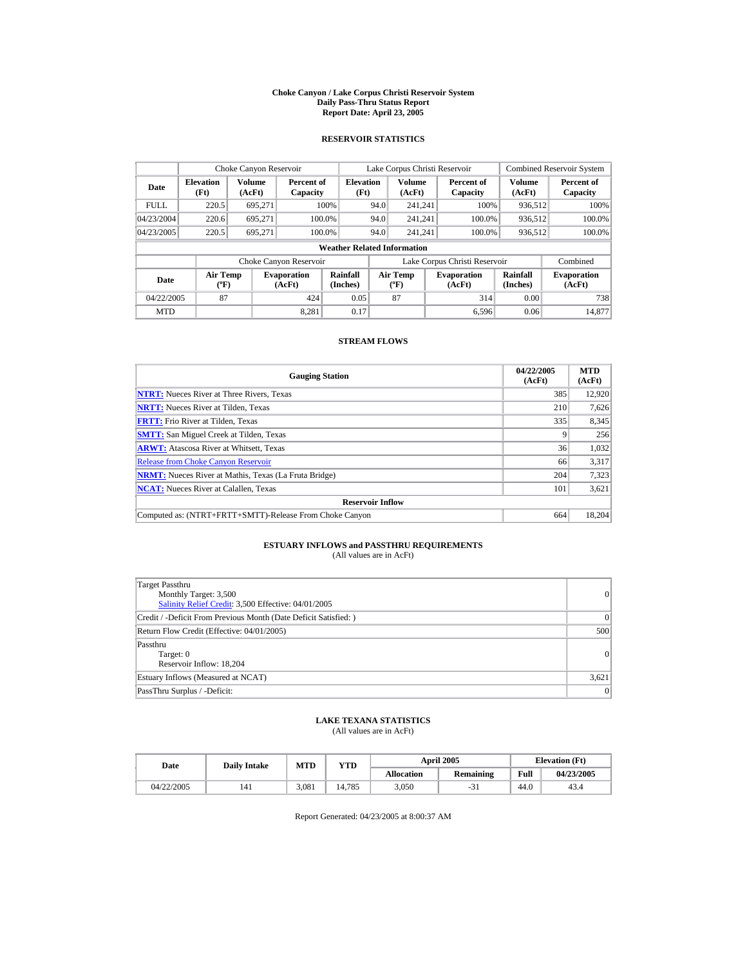#### **Choke Canyon / Lake Corpus Christi Reservoir System Daily Pass-Thru Status Report Report Date: April 23, 2005**

### **RESERVOIR STATISTICS**

|             | Choke Canyon Reservoir                      |                  |                              |                          |      | Lake Corpus Christi Reservoir             |  |                               |                             | <b>Combined Reservoir System</b> |  |  |  |
|-------------|---------------------------------------------|------------------|------------------------------|--------------------------|------|-------------------------------------------|--|-------------------------------|-----------------------------|----------------------------------|--|--|--|
| Date        | <b>Elevation</b><br>(Ft)                    | Volume<br>(AcFt) | Percent of<br>Capacity       | <b>Elevation</b><br>(Ft) |      | Volume<br>(AcFt)                          |  | Percent of<br>Capacity        | Volume<br>(AcFt)            | Percent of<br>Capacity           |  |  |  |
| <b>FULL</b> | 220.5                                       | 695.271          |                              | 100%                     | 94.0 | 241.241                                   |  | 100%                          | 936,512                     | 100%                             |  |  |  |
| 04/23/2004  | 220.6                                       | 695.271          |                              | 100.0%                   | 94.0 | 241.241                                   |  | 100.0%                        | 936,512                     | 100.0%                           |  |  |  |
| 04/23/2005  | 220.5                                       | 695,271          |                              | 100.0%                   | 94.0 | 241.241                                   |  | 100.0%                        | 936,512                     | 100.0%                           |  |  |  |
|             | <b>Weather Related Information</b>          |                  |                              |                          |      |                                           |  |                               |                             |                                  |  |  |  |
|             |                                             |                  | Choke Canyon Reservoir       |                          |      |                                           |  | Lake Corpus Christi Reservoir |                             | Combined                         |  |  |  |
| Date        | <b>Air Temp</b><br>$({}^{\circ}\mathrm{F})$ |                  | <b>Evaporation</b><br>(AcFt) | Rainfall<br>(Inches)     |      | <b>Air Temp</b><br>$({}^{\circ}\text{F})$ |  | <b>Evaporation</b><br>(AcFt)  | <b>Rainfall</b><br>(Inches) | <b>Evaporation</b><br>(AcFt)     |  |  |  |
| 04/22/2005  | 87                                          |                  | 424                          | 0.05                     |      | 87                                        |  | 314                           | 0.00                        | 738                              |  |  |  |
| <b>MTD</b>  |                                             |                  | 8.281                        | 0.17                     |      |                                           |  | 6.596                         | 0.06                        | 14.877                           |  |  |  |

### **STREAM FLOWS**

| <b>Gauging Station</b>                                       | 04/22/2005<br>(AcFt) | <b>MTD</b><br>(AcFt) |
|--------------------------------------------------------------|----------------------|----------------------|
| <b>NTRT:</b> Nueces River at Three Rivers, Texas             | 385                  | 12,920               |
| <b>NRTT:</b> Nueces River at Tilden, Texas                   | 210                  | 7,626                |
| <b>FRTT:</b> Frio River at Tilden, Texas                     | 335                  | 8,345                |
| <b>SMTT:</b> San Miguel Creek at Tilden, Texas               |                      | 256                  |
| <b>ARWT:</b> Atascosa River at Whitsett, Texas               | 36                   | 1,032                |
| <b>Release from Choke Canyon Reservoir</b>                   | 66                   | 3,317                |
| <b>NRMT:</b> Nueces River at Mathis, Texas (La Fruta Bridge) | 204                  | 7,323                |
| <b>NCAT:</b> Nueces River at Calallen, Texas                 | 101                  | 3,621                |
| <b>Reservoir Inflow</b>                                      |                      |                      |
| Computed as: (NTRT+FRTT+SMTT)-Release From Choke Canyon      | 664                  | 18,204               |

# **ESTUARY INFLOWS and PASSTHRU REQUIREMENTS**<br>(All values are in AcFt)

| Target Passthru<br>Monthly Target: 3,500<br>Salinity Relief Credit: 3,500 Effective: 04/01/2005 | 0     |
|-------------------------------------------------------------------------------------------------|-------|
| Credit / -Deficit From Previous Month (Date Deficit Satisfied: )                                | 0     |
| Return Flow Credit (Effective: 04/01/2005)                                                      | 500   |
| Passthru<br>Target: 0<br>Reservoir Inflow: 18.204                                               | 0     |
| Estuary Inflows (Measured at NCAT)                                                              | 3,621 |
| PassThru Surplus / -Deficit:                                                                    | 0     |

## **LAKE TEXANA STATISTICS**

(All values are in AcFt)

| Date       |     | MTD<br>YTD<br><b>Daily Intake</b> |        |                   | <b>April 2005</b> | <b>Elevation</b> (Ft) |            |
|------------|-----|-----------------------------------|--------|-------------------|-------------------|-----------------------|------------|
|            |     |                                   |        | <b>Allocation</b> | <b>Remaining</b>  | Full                  | 04/23/2005 |
| 04/22/2005 | 141 | 3.081                             | 14.785 | 3.050             | -5.               | 44.0                  | 43.4       |

Report Generated: 04/23/2005 at 8:00:37 AM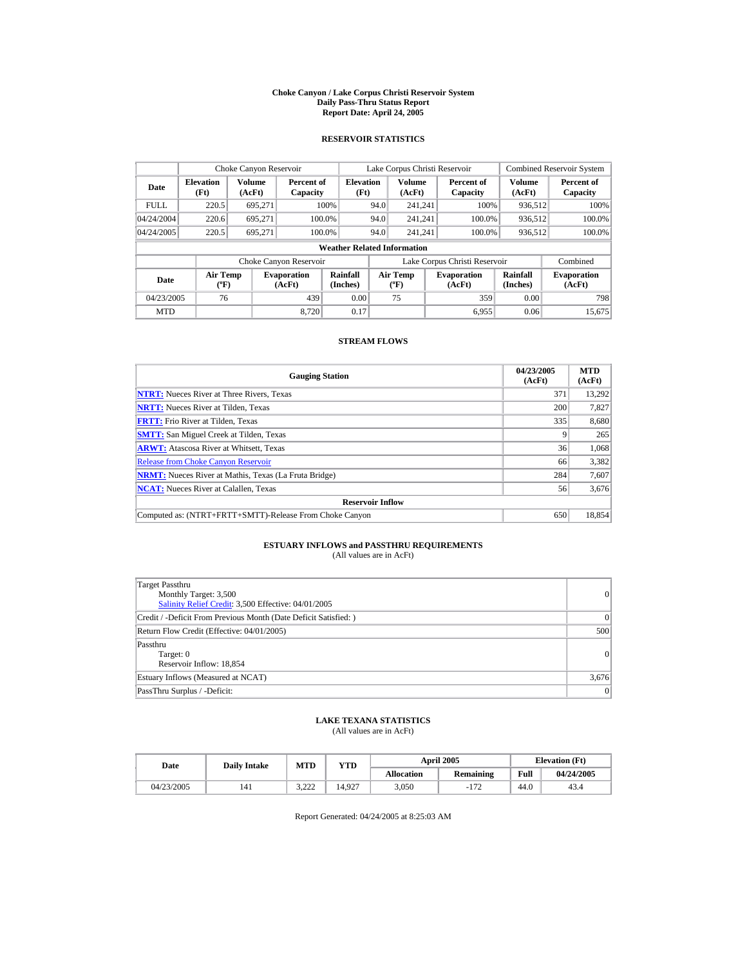#### **Choke Canyon / Lake Corpus Christi Reservoir System Daily Pass-Thru Status Report Report Date: April 24, 2005**

### **RESERVOIR STATISTICS**

|             | Choke Canyon Reservoir               |                  |                              |                                    |      | Lake Corpus Christi Reservoir                    |                               |                      | <b>Combined Reservoir System</b> |
|-------------|--------------------------------------|------------------|------------------------------|------------------------------------|------|--------------------------------------------------|-------------------------------|----------------------|----------------------------------|
| Date        | <b>Elevation</b><br>(Ft)             | Volume<br>(AcFt) | Percent of<br>Capacity       | <b>Elevation</b><br>(Ft)           |      | <b>Volume</b><br>(AcFt)                          | Percent of<br>Capacity        | Volume<br>(AcFt)     | Percent of<br>Capacity           |
| <b>FULL</b> | 220.5                                | 695,271          |                              | 100%                               | 94.0 | 241.241                                          | 100%                          | 936,512              | 100%                             |
| 04/24/2004  | 220.6                                | 695.271          | 100.0%                       |                                    | 94.0 | 241.241                                          | 100.0%                        | 936,512              | 100.0%                           |
| 04/24/2005  | 220.5                                | 695.271          | 100.0%                       |                                    | 94.0 | 241.241                                          | 100.0%                        | 936,512              | $100.0\%$                        |
|             |                                      |                  |                              | <b>Weather Related Information</b> |      |                                                  |                               |                      |                                  |
|             |                                      |                  | Choke Canyon Reservoir       |                                    |      |                                                  | Lake Corpus Christi Reservoir |                      | Combined                         |
| Date        | Air Temp<br>$({}^{\circ}\mathrm{F})$ |                  | <b>Evaporation</b><br>(AcFt) | Rainfall<br>(Inches)               |      | <b>Air Temp</b><br>$({}^{\mathrm{o}}\mathrm{F})$ | <b>Evaporation</b><br>(AcFt)  | Rainfall<br>(Inches) | <b>Evaporation</b><br>(AcFt)     |
| 04/23/2005  | 76                                   |                  | 439                          | 0.00                               |      | 75                                               | 359                           | 0.00                 | 798                              |
| <b>MTD</b>  |                                      |                  | 8.720                        | 0.17                               |      |                                                  | 6.955                         | 0.06                 | 15.675                           |

### **STREAM FLOWS**

| <b>Gauging Station</b>                                       | 04/23/2005<br>(AcFt) | <b>MTD</b><br>(AcFt) |
|--------------------------------------------------------------|----------------------|----------------------|
| <b>NTRT:</b> Nueces River at Three Rivers, Texas             | 371                  | 13,292               |
| <b>NRTT:</b> Nueces River at Tilden, Texas                   | 200                  | 7.827                |
| <b>FRTT:</b> Frio River at Tilden, Texas                     | 335                  | 8,680                |
| <b>SMTT:</b> San Miguel Creek at Tilden, Texas               |                      | 265                  |
| <b>ARWT:</b> Atascosa River at Whitsett, Texas               | 36                   | 1,068                |
| <b>Release from Choke Canvon Reservoir</b>                   | 66                   | 3,382                |
| <b>NRMT:</b> Nueces River at Mathis, Texas (La Fruta Bridge) | 284                  | 7,607                |
| <b>NCAT:</b> Nueces River at Calallen, Texas                 | 56                   | 3,676                |
| <b>Reservoir Inflow</b>                                      |                      |                      |
| Computed as: (NTRT+FRTT+SMTT)-Release From Choke Canyon      | 650                  | 18.854               |

# **ESTUARY INFLOWS and PASSTHRU REQUIREMENTS**<br>(All values are in AcFt)

| Target Passthru<br>Monthly Target: 3,500<br>Salinity Relief Credit: 3,500 Effective: 04/01/2005 | 0     |
|-------------------------------------------------------------------------------------------------|-------|
| Credit / -Deficit From Previous Month (Date Deficit Satisfied: )                                | 0     |
| Return Flow Credit (Effective: 04/01/2005)                                                      | 500   |
| Passthru<br>Target: 0<br>Reservoir Inflow: 18,854                                               | 0     |
| Estuary Inflows (Measured at NCAT)                                                              | 3,676 |
| PassThru Surplus / -Deficit:                                                                    | 0     |

### **LAKE TEXANA STATISTICS**

(All values are in AcFt)

| Date       | <b>Daily Intake</b> | MTD              | VTD    |                   | <b>April 2005</b> |      | <b>Elevation</b> (Ft) |
|------------|---------------------|------------------|--------|-------------------|-------------------|------|-----------------------|
|            |                     |                  |        | <b>Allocation</b> | Remaining         | Full | 04/24/2005            |
| 04/23/2005 | 141                 | 2.22<br><u>.</u> | 14.927 | 3.050             | 172<br>$-11$      | 44.0 | 43.4                  |

Report Generated: 04/24/2005 at 8:25:03 AM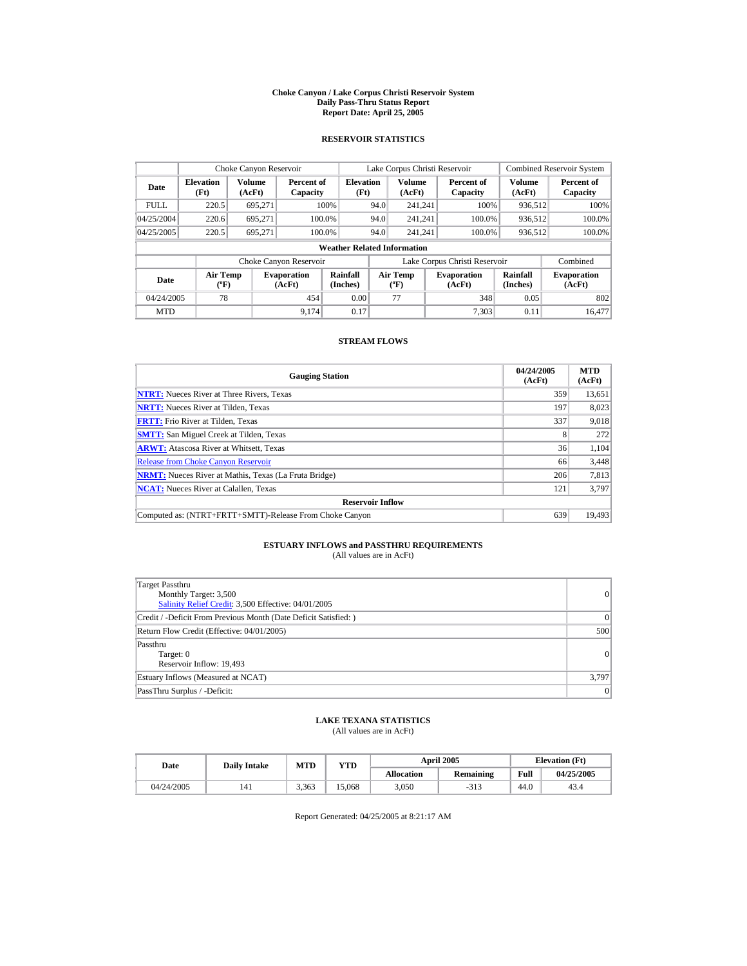#### **Choke Canyon / Lake Corpus Christi Reservoir System Daily Pass-Thru Status Report Report Date: April 25, 2005**

### **RESERVOIR STATISTICS**

|             | Choke Canyon Reservoir               |                  |                              |                                    |      | Lake Corpus Christi Reservoir                    |                               |                         | <b>Combined Reservoir System</b> |
|-------------|--------------------------------------|------------------|------------------------------|------------------------------------|------|--------------------------------------------------|-------------------------------|-------------------------|----------------------------------|
| Date        | <b>Elevation</b><br>(Ft)             | Volume<br>(AcFt) | Percent of<br>Capacity       | <b>Elevation</b><br>(Ft)           |      | <b>Volume</b><br>(AcFt)                          | Percent of<br>Capacity        | <b>Volume</b><br>(AcFt) | Percent of<br>Capacity           |
| <b>FULL</b> | 220.5                                | 695.271          |                              | 100%                               | 94.0 | 241.241                                          | 100%                          | 936,512                 | 100%                             |
| 04/25/2004  | 220.6                                | 695.271          |                              | 100.0%                             | 94.0 | 241.241                                          | 100.0%                        | 936,512                 | 100.0%                           |
| 04/25/2005  | 220.5                                | 695.271          |                              | 100.0%                             | 94.0 | 241.241                                          | 100.0%                        | 936,512                 | $100.0\%$                        |
|             |                                      |                  |                              | <b>Weather Related Information</b> |      |                                                  |                               |                         |                                  |
|             |                                      |                  | Choke Canyon Reservoir       |                                    |      |                                                  | Lake Corpus Christi Reservoir |                         | Combined                         |
| Date        | Air Temp<br>$({}^{\circ}\mathrm{F})$ |                  | <b>Evaporation</b><br>(AcFt) | Rainfall<br>(Inches)               |      | <b>Air Temp</b><br>$({}^{\mathrm{o}}\mathrm{F})$ | <b>Evaporation</b><br>(AcFt)  | Rainfall<br>(Inches)    | <b>Evaporation</b><br>(AcFt)     |
| 04/24/2005  | 78                                   |                  | 454                          | 0.00                               |      | 77                                               | 348                           | 0.05                    | 802                              |
| <b>MTD</b>  |                                      |                  | 9,174                        | 0.17                               |      |                                                  | 7.303                         | 0.11                    | 16,477                           |

### **STREAM FLOWS**

| <b>Gauging Station</b>                                       | 04/24/2005<br>(AcFt) | <b>MTD</b><br>(AcFt) |
|--------------------------------------------------------------|----------------------|----------------------|
| <b>NTRT:</b> Nueces River at Three Rivers, Texas             | 359                  | 13,651               |
| <b>NRTT:</b> Nueces River at Tilden, Texas                   | 197                  | 8.023                |
| <b>FRTT:</b> Frio River at Tilden, Texas                     | 337                  | 9,018                |
| <b>SMTT:</b> San Miguel Creek at Tilden, Texas               | 8                    | 272                  |
| <b>ARWT:</b> Atascosa River at Whitsett, Texas               | 36                   | 1,104                |
| <b>Release from Choke Canyon Reservoir</b>                   | 66                   | 3,448                |
| <b>NRMT:</b> Nueces River at Mathis, Texas (La Fruta Bridge) | 206                  | 7,813                |
| <b>NCAT:</b> Nueces River at Calallen, Texas                 | 121                  | 3,797                |
| <b>Reservoir Inflow</b>                                      |                      |                      |
| Computed as: (NTRT+FRTT+SMTT)-Release From Choke Canyon      | 639                  | 19.493               |

# **ESTUARY INFLOWS and PASSTHRU REQUIREMENTS**<br>(All values are in AcFt)

| <b>Target Passthru</b><br>Monthly Target: 3,500<br>Salinity Relief Credit: 3,500 Effective: 04/01/2005 | 0     |
|--------------------------------------------------------------------------------------------------------|-------|
| Credit / -Deficit From Previous Month (Date Deficit Satisfied: )                                       | 0     |
| Return Flow Credit (Effective: 04/01/2005)                                                             | 500   |
| Passthru<br>Target: 0<br>Reservoir Inflow: 19,493                                                      | 0     |
| Estuary Inflows (Measured at NCAT)                                                                     | 3,797 |
| PassThru Surplus / -Deficit:                                                                           | 0     |

### **LAKE TEXANA STATISTICS**

(All values are in AcFt)

| Date |            | <b>Daily Intake</b> | MTD   | YTD   |                   | <b>April 2005</b> | <b>Elevation</b> (Ft) |            |
|------|------------|---------------------|-------|-------|-------------------|-------------------|-----------------------|------------|
|      |            |                     |       |       | <b>Allocation</b> | <b>Remaining</b>  | Full                  | 04/25/2005 |
|      | 04/24/2005 | 141                 | 3.363 | 5.068 | 3.050             | -919              | 44.0                  | 43.4       |

Report Generated: 04/25/2005 at 8:21:17 AM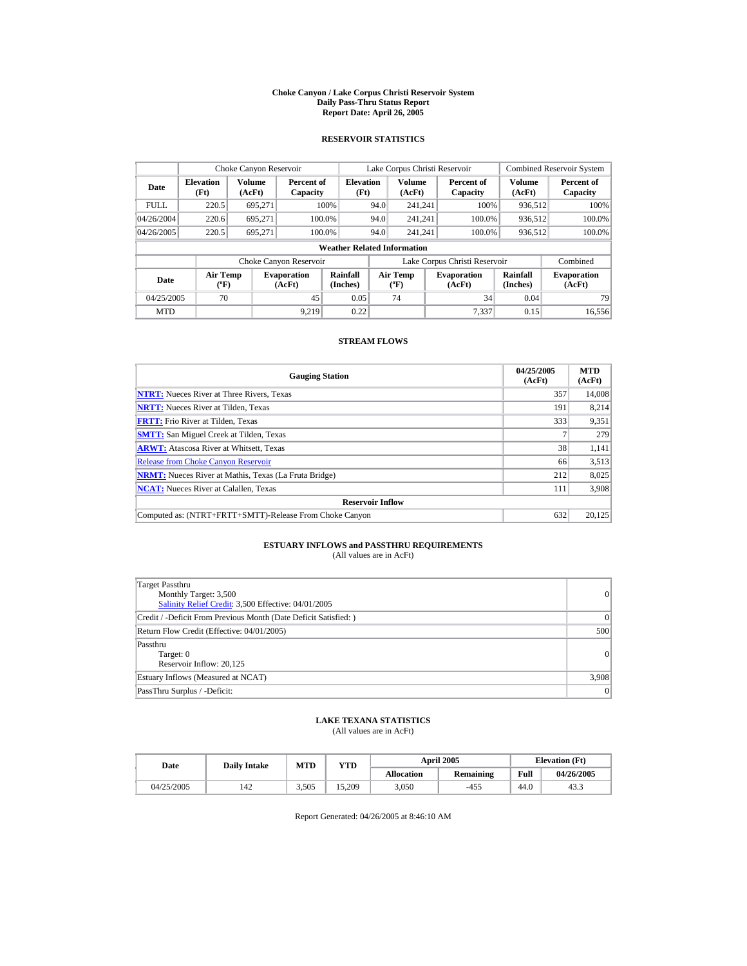#### **Choke Canyon / Lake Corpus Christi Reservoir System Daily Pass-Thru Status Report Report Date: April 26, 2005**

### **RESERVOIR STATISTICS**

|             | Choke Canyon Reservoir                |                         |                              |                                    |      | Lake Corpus Christi Reservoir             |                               |                      | <b>Combined Reservoir System</b> |
|-------------|---------------------------------------|-------------------------|------------------------------|------------------------------------|------|-------------------------------------------|-------------------------------|----------------------|----------------------------------|
| Date        | <b>Elevation</b><br>(Ft)              | <b>Volume</b><br>(AcFt) | Percent of<br>Capacity       | <b>Elevation</b><br>(Ft)           |      | <b>Volume</b><br>(AcFt)                   | Percent of<br>Capacity        | Volume<br>(AcFt)     | Percent of<br>Capacity           |
| <b>FULL</b> | 220.5                                 | 695.271                 |                              | 100%                               | 94.0 | 241.241                                   | 100%                          | 936,512              | 100%                             |
| 04/26/2004  | 220.6                                 | 695.271                 |                              | 100.0%                             | 94.0 | 241.241                                   | 100.0%                        | 936.512              | 100.0%                           |
| 04/26/2005  | 220.5                                 | 695.271                 |                              | 100.0%                             | 94.0 | 241.241                                   | 100.0%                        | 936,512              | 100.0%                           |
|             |                                       |                         |                              | <b>Weather Related Information</b> |      |                                           |                               |                      |                                  |
|             |                                       |                         | Choke Canyon Reservoir       |                                    |      |                                           | Lake Corpus Christi Reservoir |                      | Combined                         |
| Date        | <b>Air Temp</b><br>$({}^o\mathrm{F})$ |                         | <b>Evaporation</b><br>(AcFt) | Rainfall<br>(Inches)               |      | Air Temp<br>$({}^{\mathrm{o}}\mathrm{F})$ | <b>Evaporation</b><br>(AcFt)  | Rainfall<br>(Inches) | <b>Evaporation</b><br>(AcFt)     |
| 04/25/2005  | 70                                    |                         | 45                           | 0.05                               |      | 74                                        | 34                            | 0.04                 | 79                               |
| <b>MTD</b>  |                                       |                         | 9.219                        | 0.22                               |      |                                           | 7.337                         | 0.15                 | 16.556                           |

### **STREAM FLOWS**

| <b>Gauging Station</b>                                       | 04/25/2005<br>(AcFt) | <b>MTD</b><br>(AcFt) |
|--------------------------------------------------------------|----------------------|----------------------|
| <b>NTRT:</b> Nueces River at Three Rivers, Texas             | 357                  | 14.008               |
| <b>NRTT:</b> Nueces River at Tilden, Texas                   | 191                  | 8.214                |
| <b>FRTT:</b> Frio River at Tilden, Texas                     | 333                  | 9,351                |
| <b>SMTT:</b> San Miguel Creek at Tilden, Texas               |                      | 279                  |
| <b>ARWT:</b> Atascosa River at Whitsett, Texas               | 38                   | 1,141                |
| <b>Release from Choke Canvon Reservoir</b>                   | 66                   | 3,513                |
| <b>NRMT:</b> Nueces River at Mathis, Texas (La Fruta Bridge) | 212                  | 8,025                |
| <b>NCAT:</b> Nueces River at Calallen, Texas                 | 111                  | 3,908                |
| <b>Reservoir Inflow</b>                                      |                      |                      |
| Computed as: (NTRT+FRTT+SMTT)-Release From Choke Canyon      | 632                  | 20.125               |

# **ESTUARY INFLOWS and PASSTHRU REQUIREMENTS**<br>(All values are in AcFt)

| <b>Target Passthru</b><br>Monthly Target: 3,500<br>Salinity Relief Credit: 3,500 Effective: 04/01/2005 | 0     |
|--------------------------------------------------------------------------------------------------------|-------|
| Credit / -Deficit From Previous Month (Date Deficit Satisfied: )                                       | 0     |
| Return Flow Credit (Effective: 04/01/2005)                                                             | 500   |
| Passthru<br>Target: 0<br>Reservoir Inflow: 20,125                                                      | 0     |
| Estuary Inflows (Measured at NCAT)                                                                     | 3,908 |
| PassThru Surplus / -Deficit:                                                                           | 0     |

### **LAKE TEXANA STATISTICS**

(All values are in AcFt)

| Date |            | <b>Daily Intake</b> | <b>April 2005</b><br>MTD<br>YTD |        |                   | <b>Elevation</b> (Ft) |      |            |
|------|------------|---------------------|---------------------------------|--------|-------------------|-----------------------|------|------------|
|      |            |                     |                                 |        | <b>Allocation</b> | <b>Remaining</b>      | Full | 04/26/2005 |
|      | 04/25/2005 | 142                 | 3.505                           | 15.209 | 3.050             | $-455$                | 44.0 | 43.3       |

Report Generated: 04/26/2005 at 8:46:10 AM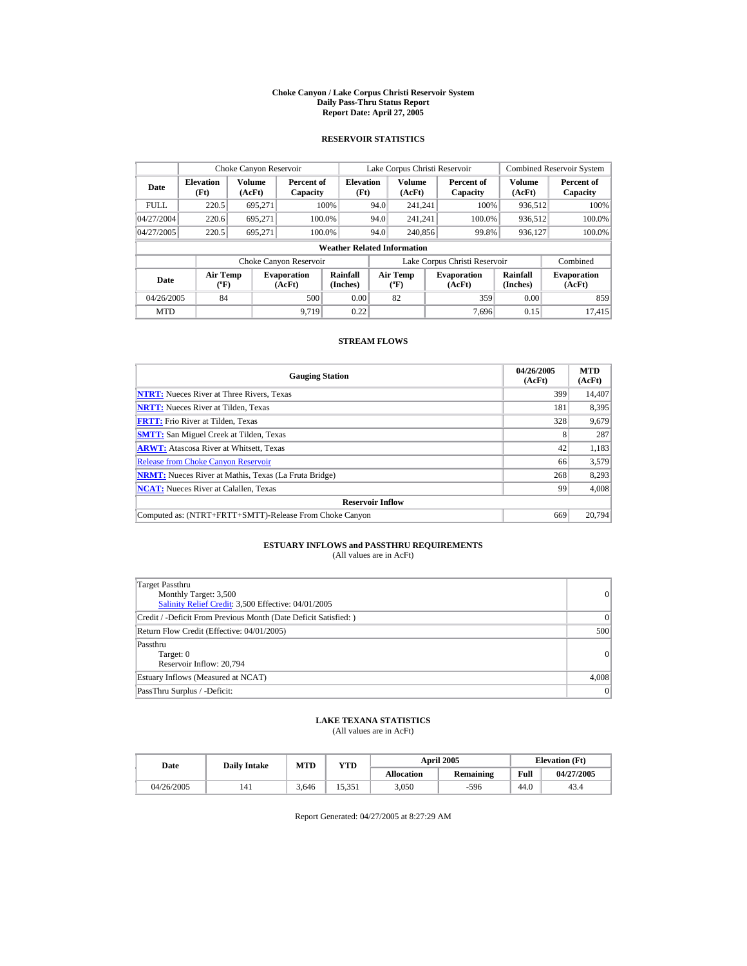#### **Choke Canyon / Lake Corpus Christi Reservoir System Daily Pass-Thru Status Report Report Date: April 27, 2005**

### **RESERVOIR STATISTICS**

|             | Choke Canyon Reservoir               |                  |                              |                                    |      | Lake Corpus Christi Reservoir                    |                               | <b>Combined Reservoir System</b> |                              |  |
|-------------|--------------------------------------|------------------|------------------------------|------------------------------------|------|--------------------------------------------------|-------------------------------|----------------------------------|------------------------------|--|
| Date        | <b>Elevation</b><br>(Ft)             | Volume<br>(AcFt) | Percent of<br>Capacity       | <b>Elevation</b><br>(Ft)           |      | <b>Volume</b><br>(AcFt)                          | Percent of<br>Capacity        | Volume<br>(AcFt)                 | Percent of<br>Capacity       |  |
| <b>FULL</b> | 220.5                                | 695,271          |                              | 100%                               | 94.0 | 241.241                                          | 100%                          | 936,512                          | 100%                         |  |
| 04/27/2004  | 220.6                                | 695.271          | 100.0%                       |                                    | 94.0 | 241.241                                          | 100.0%                        | 936,512                          | 100.0%                       |  |
| 04/27/2005  | 220.5                                | 695.271          | 100.0%                       |                                    | 94.0 | 240,856                                          | 99.8%                         | 936,127                          | $100.0\%$                    |  |
|             |                                      |                  |                              | <b>Weather Related Information</b> |      |                                                  |                               |                                  |                              |  |
|             |                                      |                  | Choke Canyon Reservoir       |                                    |      |                                                  | Lake Corpus Christi Reservoir |                                  | Combined                     |  |
| Date        | Air Temp<br>$({}^{\circ}\mathrm{F})$ |                  | <b>Evaporation</b><br>(AcFt) | Rainfall<br>(Inches)               |      | <b>Air Temp</b><br>$({}^{\mathrm{o}}\mathrm{F})$ | <b>Evaporation</b><br>(AcFt)  | Rainfall<br>(Inches)             | <b>Evaporation</b><br>(AcFt) |  |
| 04/26/2005  | 84                                   |                  | 500                          | 0.00                               |      | 82                                               | 359                           | 0.00                             | 859                          |  |
| <b>MTD</b>  |                                      |                  | 9.719                        | 0.22                               |      |                                                  | 7.696                         | 0.15                             | 17.415                       |  |

### **STREAM FLOWS**

| <b>Gauging Station</b>                                       | 04/26/2005<br>(AcFt) | <b>MTD</b><br>(AcFt) |
|--------------------------------------------------------------|----------------------|----------------------|
| <b>NTRT:</b> Nueces River at Three Rivers, Texas             | 399                  | 14,407               |
| <b>NRTT:</b> Nueces River at Tilden, Texas                   | 181                  | 8.395                |
| <b>FRTT:</b> Frio River at Tilden, Texas                     | 328                  | 9,679                |
| <b>SMTT:</b> San Miguel Creek at Tilden, Texas               | 8                    | 287                  |
| <b>ARWT:</b> Atascosa River at Whitsett, Texas               | 42                   | 1,183                |
| <b>Release from Choke Canvon Reservoir</b>                   | 66                   | 3,579                |
| <b>NRMT:</b> Nueces River at Mathis, Texas (La Fruta Bridge) | 268                  | 8,293                |
| <b>NCAT:</b> Nueces River at Calallen, Texas                 | 99                   | 4,008                |
| <b>Reservoir Inflow</b>                                      |                      |                      |
| Computed as: (NTRT+FRTT+SMTT)-Release From Choke Canyon      | 669                  | 20,794               |

# **ESTUARY INFLOWS and PASSTHRU REQUIREMENTS**<br>(All values are in AcFt)

| <b>Target Passthru</b><br>Monthly Target: 3,500<br>Salinity Relief Credit: 3,500 Effective: 04/01/2005 | 0     |
|--------------------------------------------------------------------------------------------------------|-------|
| Credit / -Deficit From Previous Month (Date Deficit Satisfied: )                                       | 0     |
| Return Flow Credit (Effective: 04/01/2005)                                                             | 500   |
| Passthru<br>Target: 0<br>Reservoir Inflow: 20,794                                                      | 0     |
| Estuary Inflows (Measured at NCAT)                                                                     | 4,008 |
| PassThru Surplus / -Deficit:                                                                           | 0     |

## **LAKE TEXANA STATISTICS**

(All values are in AcFt)

| Date       | <b>Daily Intake</b> | MTD   | YTD    |                   | <b>April 2005</b> | <b>Elevation</b> (Ft) |            |
|------------|---------------------|-------|--------|-------------------|-------------------|-----------------------|------------|
|            |                     |       |        | <b>Allocation</b> | <b>Remaining</b>  | Full                  | 04/27/2005 |
| 04/26/2005 | 141                 | 3.646 | 15.351 | 3.050             | $-596$            | 44.0                  | 43.4       |

Report Generated: 04/27/2005 at 8:27:29 AM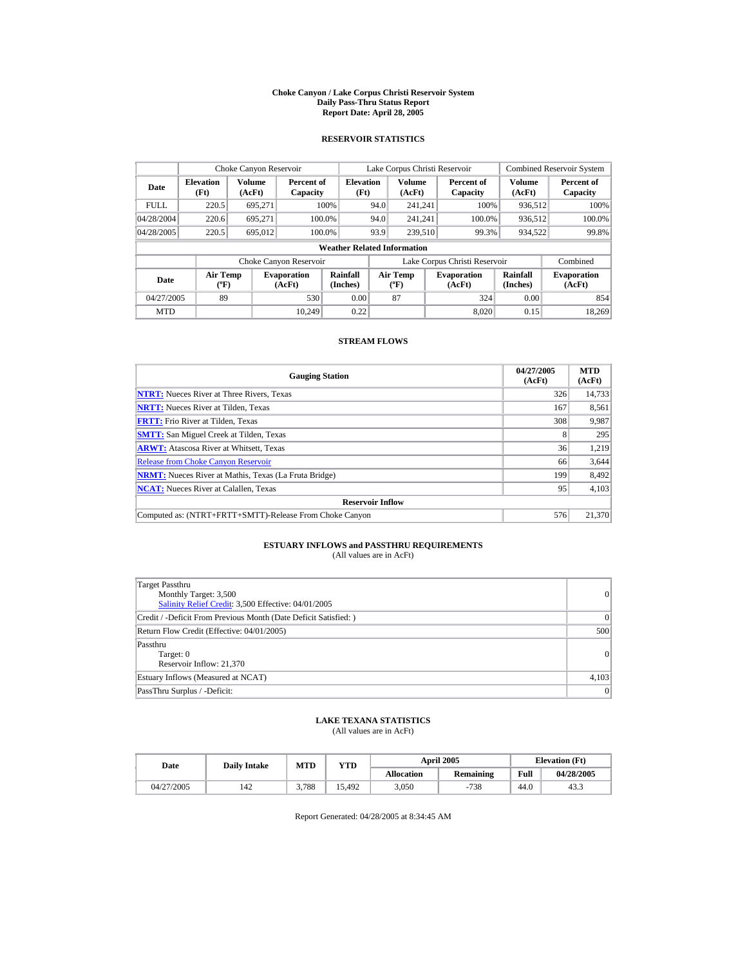#### **Choke Canyon / Lake Corpus Christi Reservoir System Daily Pass-Thru Status Report Report Date: April 28, 2005**

### **RESERVOIR STATISTICS**

|             | Choke Canyon Reservoir               |                  |                              |                                    |                                                                                  | Lake Corpus Christi Reservoir |                               |                              | <b>Combined Reservoir System</b> |
|-------------|--------------------------------------|------------------|------------------------------|------------------------------------|----------------------------------------------------------------------------------|-------------------------------|-------------------------------|------------------------------|----------------------------------|
| Date        | <b>Elevation</b><br>(Ft)             | Volume<br>(AcFt) | Percent of<br>Capacity       | <b>Elevation</b><br>(Ft)           |                                                                                  | <b>Volume</b><br>(AcFt)       | Percent of<br>Capacity        | <b>Volume</b><br>(AcFt)      | Percent of<br>Capacity           |
| <b>FULL</b> | 220.5                                | 695.271          |                              | 100%                               | 94.0                                                                             | 241.241                       | 100%                          | 936,512                      | 100%                             |
| 04/28/2004  | 220.6                                | 695.271          |                              | 100.0%                             | 94.0                                                                             | 241.241                       | 100.0%                        | 936,512                      | 100.0%                           |
| 04/28/2005  | 220.5                                | 695.012          |                              | 100.0%                             | 93.9                                                                             | 239,510                       | 99.3%                         | 934,522                      | 99.8%                            |
|             |                                      |                  |                              | <b>Weather Related Information</b> |                                                                                  |                               |                               |                              |                                  |
|             |                                      |                  | Choke Canyon Reservoir       |                                    |                                                                                  |                               | Lake Corpus Christi Reservoir |                              | Combined                         |
| Date        | Air Temp<br>$({}^{\circ}\mathrm{F})$ |                  | <b>Evaporation</b><br>(AcFt) | <b>Rainfall</b><br>(Inches)        | <b>Air Temp</b><br><b>Evaporation</b><br>$({}^{\mathrm{o}}\mathrm{F})$<br>(AcFt) |                               | Rainfall<br>(Inches)          | <b>Evaporation</b><br>(AcFt) |                                  |
| 04/27/2005  | 89                                   |                  | 530                          | 0.00                               |                                                                                  | 87                            | 324                           | 0.00                         | 854                              |
| <b>MTD</b>  |                                      |                  | 10.249                       | 0.22                               |                                                                                  |                               | 8.020                         | 0.15                         | 18.269                           |

### **STREAM FLOWS**

| <b>Gauging Station</b>                                       | 04/27/2005<br>(AcFt) | <b>MTD</b><br>(AcFt) |
|--------------------------------------------------------------|----------------------|----------------------|
| <b>NTRT:</b> Nueces River at Three Rivers, Texas             | 326                  | 14,733               |
| <b>NRTT:</b> Nueces River at Tilden, Texas                   | 167                  | 8,561                |
| <b>FRTT:</b> Frio River at Tilden, Texas                     | 308                  | 9,987                |
| <b>SMTT:</b> San Miguel Creek at Tilden, Texas               | 8                    | 295                  |
| <b>ARWT:</b> Atascosa River at Whitsett, Texas               | 36                   | 1,219                |
| <b>Release from Choke Canyon Reservoir</b>                   | 66                   | 3,644                |
| <b>NRMT:</b> Nueces River at Mathis, Texas (La Fruta Bridge) | 199                  | 8,492                |
| <b>NCAT:</b> Nueces River at Calallen, Texas                 | 95                   | 4,103                |
| <b>Reservoir Inflow</b>                                      |                      |                      |
| Computed as: (NTRT+FRTT+SMTT)-Release From Choke Canyon      | 576                  | 21.370               |

# **ESTUARY INFLOWS and PASSTHRU REQUIREMENTS**<br>(All values are in AcFt)

| Target Passthru<br>Monthly Target: 3,500<br>Salinity Relief Credit: 3,500 Effective: 04/01/2005 | 0         |
|-------------------------------------------------------------------------------------------------|-----------|
| Credit / -Deficit From Previous Month (Date Deficit Satisfied: )                                | $\vert$ 0 |
| Return Flow Credit (Effective: 04/01/2005)                                                      | 500       |
| Passthru<br>Target: 0<br>Reservoir Inflow: 21,370                                               | 0         |
| Estuary Inflows (Measured at NCAT)                                                              | 4,103     |
| PassThru Surplus / -Deficit:                                                                    | 0         |

### **LAKE TEXANA STATISTICS**

(All values are in AcFt)

| Date |            | <b>Daily Intake</b> | MTD   | YTD               |                  | <b>April 2005</b> | <b>Elevation</b> (Ft) |      |
|------|------------|---------------------|-------|-------------------|------------------|-------------------|-----------------------|------|
|      |            |                     |       | <b>Allocation</b> | <b>Remaining</b> | Full              | 04/28/2005            |      |
|      | 04/27/2005 | 142                 | 3.788 | 15.492            | 3.050            | $-738$            | 44.0                  | 43.3 |

Report Generated: 04/28/2005 at 8:34:45 AM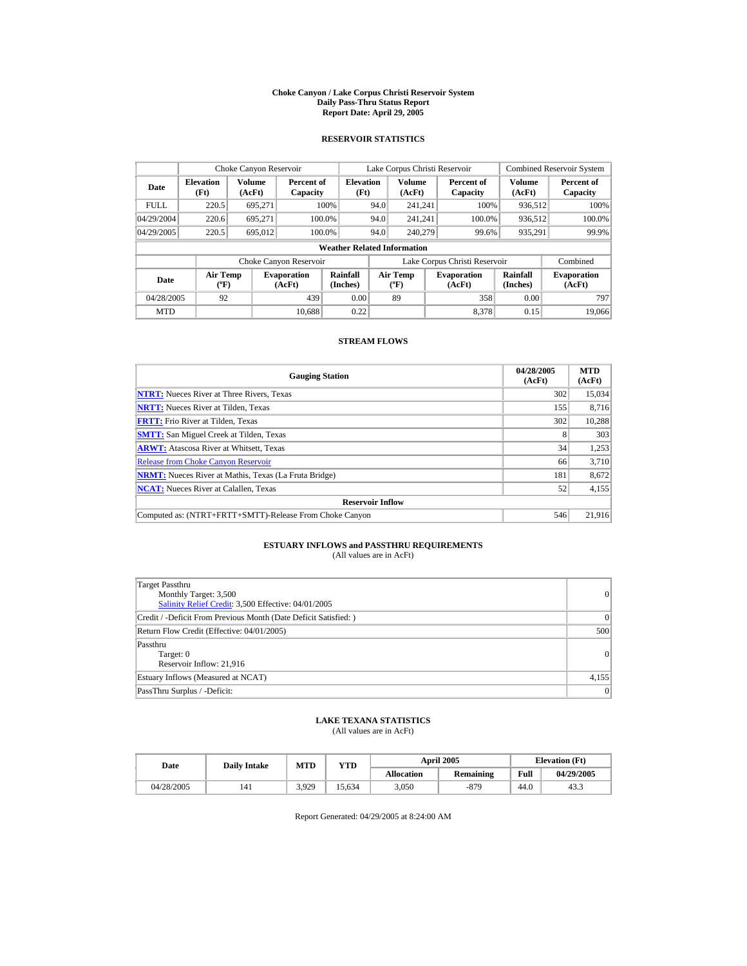#### **Choke Canyon / Lake Corpus Christi Reservoir System Daily Pass-Thru Status Report Report Date: April 29, 2005**

### **RESERVOIR STATISTICS**

|             | Choke Canyon Reservoir      |                  |                              |                                    |      | Lake Corpus Christi Reservoir                    |                                                      |                  | <b>Combined Reservoir System</b> |
|-------------|-----------------------------|------------------|------------------------------|------------------------------------|------|--------------------------------------------------|------------------------------------------------------|------------------|----------------------------------|
| Date        | <b>Elevation</b><br>(Ft)    | Volume<br>(AcFt) | Percent of<br>Capacity       | <b>Elevation</b><br>(Ft)           |      | <b>Volume</b><br>(AcFt)                          | Percent of<br>Capacity                               | Volume<br>(AcFt) | Percent of<br>Capacity           |
| <b>FULL</b> | 220.5                       | 695,271          |                              | 100%                               | 94.0 | 241.241                                          | 100%                                                 | 936,512          | 100%                             |
| 04/29/2004  | 220.6                       | 695.271          | 100.0%                       |                                    | 94.0 | 241.241                                          | 100.0%                                               | 936,512          | 100.0%                           |
| 04/29/2005  | 220.5                       | 695,012          | 100.0%                       |                                    | 94.0 | 240,279                                          | 99.6%                                                | 935,291          | 99.9%                            |
|             |                             |                  |                              | <b>Weather Related Information</b> |      |                                                  |                                                      |                  |                                  |
|             |                             |                  | Choke Canyon Reservoir       |                                    |      |                                                  | Lake Corpus Christi Reservoir                        |                  | Combined                         |
| Date        | Air Temp<br>$({}^{\circ}F)$ |                  | <b>Evaporation</b><br>(AcFt) | Rainfall<br>(Inches)               |      | <b>Air Temp</b><br>$({}^{\mathrm{o}}\mathrm{F})$ | Rainfall<br><b>Evaporation</b><br>(Inches)<br>(AcFt) |                  | <b>Evaporation</b><br>(AcFt)     |
| 04/28/2005  | 92                          |                  | 439                          | 0.00                               |      | 89                                               | 358                                                  | 0.00             | 797                              |
| <b>MTD</b>  |                             |                  | 10.688                       | 0.22                               |      |                                                  | 8.378                                                | 0.15             | 19,066                           |

### **STREAM FLOWS**

| <b>Gauging Station</b>                                       | 04/28/2005<br>(AcFt) | <b>MTD</b><br>(AcFt) |
|--------------------------------------------------------------|----------------------|----------------------|
| <b>NTRT:</b> Nueces River at Three Rivers, Texas             | 302                  | 15,034               |
| <b>NRTT:</b> Nueces River at Tilden, Texas                   | 155                  | 8.716                |
| <b>FRTT:</b> Frio River at Tilden, Texas                     | 302                  | 10,288               |
| <b>SMTT:</b> San Miguel Creek at Tilden, Texas               | 8                    | 303                  |
| <b>ARWT:</b> Atascosa River at Whitsett, Texas               | 34                   | 1,253                |
| <b>Release from Choke Canyon Reservoir</b>                   | 66                   | 3,710                |
| <b>NRMT:</b> Nueces River at Mathis, Texas (La Fruta Bridge) | 181                  | 8,672                |
| <b>NCAT:</b> Nueces River at Calallen, Texas                 | 52                   | 4,155                |
| <b>Reservoir Inflow</b>                                      |                      |                      |
| Computed as: (NTRT+FRTT+SMTT)-Release From Choke Canyon      | 546                  | 21,916               |

# **ESTUARY INFLOWS and PASSTHRU REQUIREMENTS**<br>(All values are in AcFt)

| Target Passthru<br>Monthly Target: 3,500<br>Salinity Relief Credit: 3,500 Effective: 04/01/2005 | 0        |
|-------------------------------------------------------------------------------------------------|----------|
| Credit / -Deficit From Previous Month (Date Deficit Satisfied: )                                | $\Omega$ |
| Return Flow Credit (Effective: 04/01/2005)                                                      | 500      |
| Passthru<br>Target: 0<br>Reservoir Inflow: 21,916                                               | 0        |
| Estuary Inflows (Measured at NCAT)                                                              | 4,155    |
| PassThru Surplus / -Deficit:                                                                    | 0        |

### **LAKE TEXANA STATISTICS**

(All values are in AcFt)

| Date       | MTD<br>YTD<br><b>Daily Intake</b> |       |       | <b>April 2005</b> | <b>Elevation</b> (Ft) |      |            |
|------------|-----------------------------------|-------|-------|-------------------|-----------------------|------|------------|
|            |                                   |       |       | <b>Allocation</b> | <b>Remaining</b>      | Full | 04/29/2005 |
| 04/28/2005 | 141                               | 3.929 | 5.634 | 3.050             | -879                  | 44.0 | 43.3       |

Report Generated: 04/29/2005 at 8:24:00 AM